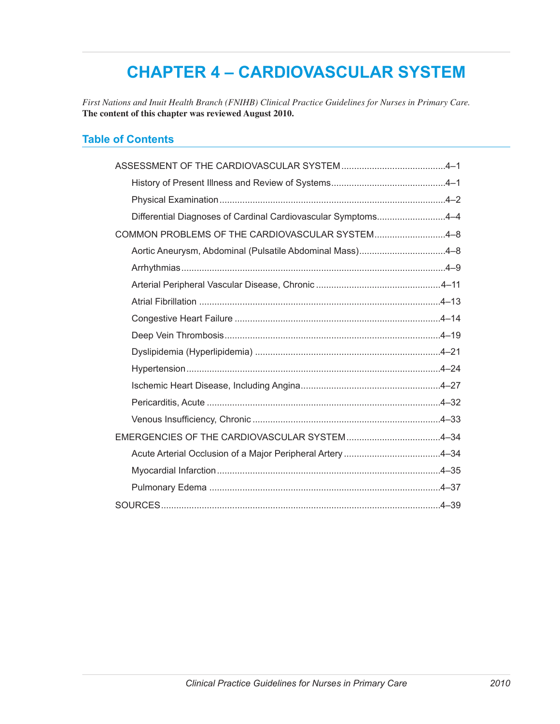# **CHAPTER 4 – CARDIOVASCULAR SYSTEM**

*First Nations and Inuit Health Branch (FNIHB) Clinical Practice Guidelines for Nurses in Primary Care.* **The content of this chapter was reviewed August 2010.**

# **Table of Contents**

| Differential Diagnoses of Cardinal Cardiovascular Symptoms4-4 |  |
|---------------------------------------------------------------|--|
| COMMON PROBLEMS OF THE CARDIOVASCULAR SYSTEM4-8               |  |
| Aortic Aneurysm, Abdominal (Pulsatile Abdominal Mass)4-8      |  |
|                                                               |  |
|                                                               |  |
|                                                               |  |
|                                                               |  |
|                                                               |  |
|                                                               |  |
|                                                               |  |
|                                                               |  |
|                                                               |  |
|                                                               |  |
| EMERGENCIES OF THE CARDIOVASCULAR SYSTEM4-34                  |  |
|                                                               |  |
|                                                               |  |
|                                                               |  |
|                                                               |  |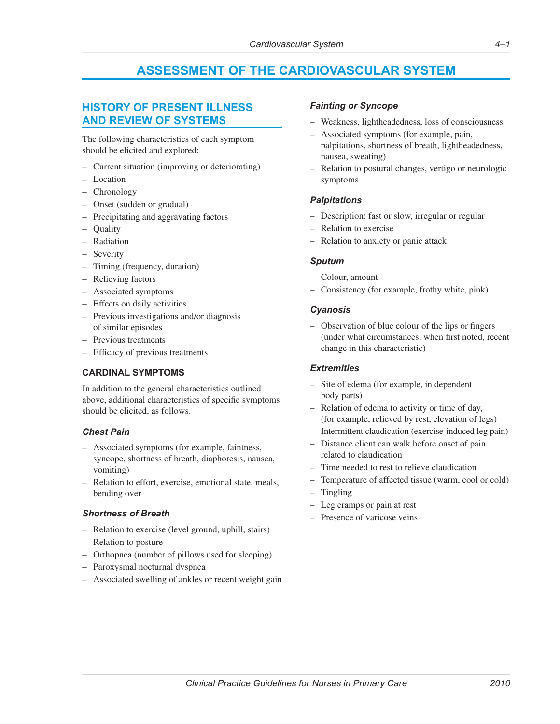# **ASSESSMENT OF THE CARDIOVASCULAR SYSTEM**

# <span id="page-2-0"></span>**HISTORY OF PRESENT ILLNESS AND REVIEW OF SYSTEMS**

The following characteristics of each symptom should be elicited and explored:

- Current situation (improving or deteriorating)
- Location
- Chronology
- Onset (sudden or gradual)
- Precipitating and aggravating factors
- Quality
- Radiation
- Severity
- Timing (frequency, duration)
- Relieving factors
- Associated symptoms
- Effects on daily activities
- Previous investigations and/or diagnosis of similar episodes
- Previous treatments
- Efficacy of previous treatments

#### **CARDINAL SYMPTOMS**

In addition to the general characteristics outlined above, additional characteristics of specific symptoms should be elicited, as follows.

#### *Chest Pain*

- Associated symptoms (for example, faintness, syncope, shortness of breath, diaphoresis, nausea, vomiting)
- Relation to effort, exercise, emotional state, meals, bending over

#### *Shortness of Breath*

- Relation to exercise (level ground, uphill, stairs)
- Relation to posture
- Orthopnea (number of pillows used for sleeping)
- Paroxysmal nocturnal dyspnea
- Associated swelling of ankles or recent weight gain

### *Fainting or Syncope*

- Weakness, lightheadedness, loss of consciousness
- Associated symptoms (for example, pain, palpitations, shortness of breath, lightheadedness, nausea, sweating)
- Relation to postural changes, vertigo or neurologic symptoms

#### *Palpitations*

- Description: fast or slow, irregular or regular
- Relation to exercise
- Relation to anxiety or panic attack

#### *Sputum*

- Colour, amount
- Consistency (for example, frothy white, pink)

#### *Cyanosis*

– Observation of blue colour of the lips or fingers (under what circumstances, when first noted, recent change in this characteristic)

#### *Extremities*

- Site of edema (for example, in dependent body parts)
- Relation of edema to activity or time of day, (for example, relieved by rest, elevation of legs)
- Intermittent claudication (exercise-induced leg pain)
- Distance client can walk before onset of pain related to claudication
- Time needed to rest to relieve claudication
- Temperature of affected tissue (warm, cool or cold)
- **Tingling**
- Leg cramps or pain at rest
- Presence of varicose veins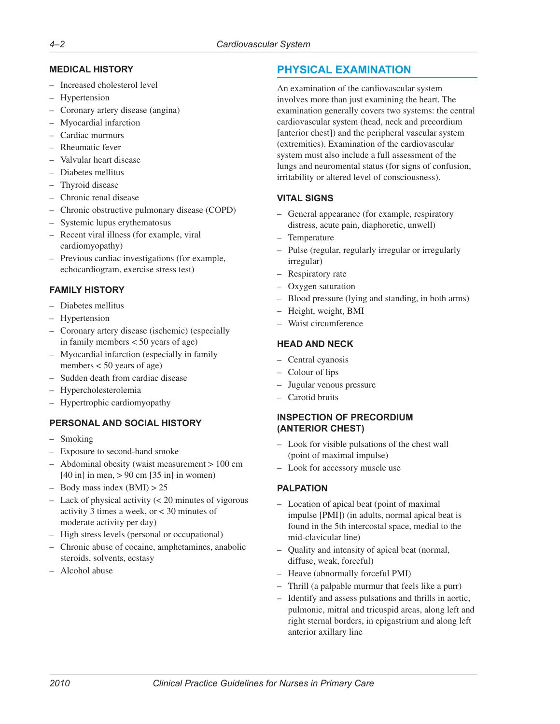# <span id="page-3-0"></span>**MEDICAL HISTORY**

- Increased cholesterol level
- Hypertension
- Coronary artery disease (angina)
- Myocardial infarction
- Cardiac murmurs
- Rheumatic fever
- Valvular heart disease
- Diabetes mellitus
- Thyroid disease
- Chronic renal disease
- Chronic obstructive pulmonary disease (COPD)
- Systemic lupus erythematosus
- Recent viral illness (for example, viral cardiomyopathy)
- Previous cardiac investigations (for example, echocardiogram, exercise stress test)

# **FAMILY HISTORY**

- Diabetes mellitus
- Hypertension
- Coronary artery disease (ischemic) (especially in family members < 50 years of age)
- Myocardial infarction (especially in family members < 50 years of age)
- Sudden death from cardiac disease
- Hypercholesterolemia
- Hypertrophic cardiomyopathy

# **PERSONAL AND SOCIAL HISTORY**

- Smoking
- Exposure to second-hand smoke
- Abdominal obesity (waist measurement > 100 cm [40 in] in men, > 90 cm [35 in] in women)
- $-$  Body mass index (BMI)  $> 25$
- Lack of physical activity (< 20 minutes of vigorous activity 3 times a week, or < 30 minutes of moderate activity per day)
- High stress levels (personal or occupational)
- Chronic abuse of cocaine, amphetamines, anabolic steroids, solvents, ecstasy
- Alcohol abuse

# **PHYSICAL EXAMINATION**

An examination of the cardiovascular system involves more than just examining the heart. The examination generally covers two systems: the central cardiovascular system (head, neck and precordium [anterior chest]) and the peripheral vascular system (extremities). Examination of the cardiovascular system must also include a full assessment of the lungs and neuromental status (for signs of confusion, irritability or altered level of consciousness).

# **VITAL SIGNS**

- General appearance (for example, respiratory distress, acute pain, diaphoretic, unwell)
- Temperature
- Pulse (regular, regularly irregular or irregularly irregular)
- Respiratory rate
- Oxygen saturation
- Blood pressure (lying and standing, in both arms)
- Height, weight, BMI
- Waist circumference

# **HEAD AND NECK**

- Central cyanosis
- Colour of lips
- Jugular venous pressure
- Carotid bruits

# **INSPECTION OF PRECORDIUM (ANTERIOR CHEST)**

- Look for visible pulsations of the chest wall (point of maximal impulse)
- Look for accessory muscle use

# **PALPATION**

- Location of apical beat (point of maximal impulse [PMI]) (in adults, normal apical beat is found in the 5th intercostal space, medial to the mid-clavicular line)
- Quality and intensity of apical beat (normal, diffuse, weak, forceful)
- Heave (abnormally forceful PMI)
- Thrill (a palpable murmur that feels like a purr)
- Identify and assess pulsations and thrills in aortic, pulmonic, mitral and tricuspid areas, along left and right sternal borders, in epigastrium and along left anterior axillary line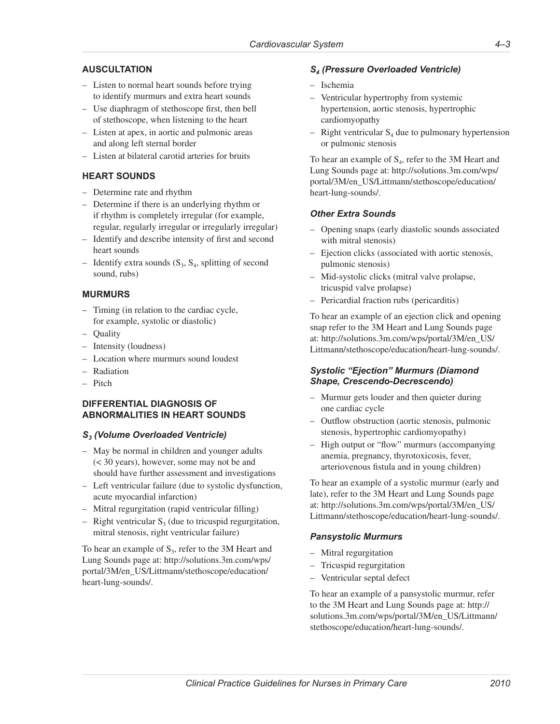### **AUSCULTATION**

- Listen to normal heart sounds before trying to identify murmurs and extra heart sounds
- Use diaphragm of stethoscope first, then bell of stethoscope, when listening to the heart
- Listen at apex, in aortic and pulmonic areas and along left sternal border
- Listen at bilateral carotid arteries for bruits

# **HEART SOUNDS**

- Determine rate and rhythm
- Determine if there is an underlying rhythm or if rhythm is completely irregular (for example, regular, regularly irregular or irregularly irregular)
- Identify and describe intensity of first and second heart sounds
- Identify extra sounds  $(S_3, S_4,$  splitting of second sound, rubs)

### **MURMURS**

- Timing (in relation to the cardiac cycle, for example, systolic or diastolic)
- Quality
- Intensity (loudness)
- Location where murmurs sound loudest
- Radiation
- Pitch

#### **DIFFERENTIAL DIAGNOSIS OF ABNORMALITIES IN HEART SOUNDS**

#### *S3 (Volume Overloaded Ventricle)*

- May be normal in children and younger adults (< 30 years), however, some may not be and should have further assessment and investigations
- Left ventricular failure (due to systolic dysfunction, acute myocardial infarction)
- Mitral regurgitation (rapid ventricular filling)
- Right ventricular  $S_3$  (due to tricuspid regurgitation, mitral stenosis, right ventricular failure)

To hear an example of  $S_3$ , refer to the 3M Heart and Lung Sounds page at: [http://solutions.3m.com/wps/](http://solutions.3m.com/wps/portal/3M/en_US/Littmann/stethoscope/education/heart-lung-sounds/) [portal/3M/en\\_US/Littmann/stethoscope/education/](http://solutions.3m.com/wps/portal/3M/en_US/Littmann/stethoscope/education/heart-lung-sounds/) [heart-lung-sounds/.](http://solutions.3m.com/wps/portal/3M/en_US/Littmann/stethoscope/education/heart-lung-sounds/)

#### *S4 (Pressure Overloaded Ventricle)*

- Ischemia
- Ventricular hypertrophy from systemic hypertension, aortic stenosis, hypertrophic cardiomyopathy
- Right ventricular  $S_4$  due to pulmonary hypertension or pulmonic stenosis

To hear an example of  $S_4$ , refer to the 3M Heart and Lung Sounds page at: [http://solutions.3m.com/wps/](http://solutions.3m.com/wps/portal/3M/en_US/Littmann/stethoscope/education/heart-lung-sounds/) [portal/3M/en\\_US/Littmann/stethoscope/education/](http://solutions.3m.com/wps/portal/3M/en_US/Littmann/stethoscope/education/heart-lung-sounds/) [heart-lung-sounds/.](http://solutions.3m.com/wps/portal/3M/en_US/Littmann/stethoscope/education/heart-lung-sounds/)

### *Other Extra Sounds*

- Opening snaps (early diastolic sounds associated with mitral stenosis)
- Ejection clicks (associated with aortic stenosis, pulmonic stenosis)
- Mid-systolic clicks (mitral valve prolapse, tricuspid valve prolapse)
- Pericardial fraction rubs (pericarditis)

To hear an example of an ejection click and opening snap refer to the 3M Heart and Lung Sounds page at: [http://solutions.3m.com/wps/portal/3M/en\\_US/](http://solutions.3m.com/wps/portal/3M/en_US/Littmann/stethoscope/education/heart-lung-sounds/) [Littmann/stethoscope/education/heart-lung-sounds/.](http://solutions.3m.com/wps/portal/3M/en_US/Littmann/stethoscope/education/heart-lung-sounds/)

### *Systolic "Ejection" Murmurs (Diamond Shape, Crescendo-Decrescendo)*

- Murmur gets louder and then quieter during one cardiac cycle
- Outflow obstruction (aortic stenosis, pulmonic stenosis, hypertrophic cardiomyopathy)
- High output or "flow" murmurs (accompanying anemia, pregnancy, thyrotoxicosis, fever, arteriovenous fistula and in young children)

To hear an example of a systolic murmur (early and late), refer to the 3M Heart and Lung Sounds page at: [http://solutions.3m.com/wps/portal/3M/en\\_US/](http://solutions.3m.com/wps/portal/3M/en_US/Littmann/stethoscope/education/heart-lung-sounds/) [Littmann/stethoscope/education/heart-lung-sounds/.](http://solutions.3m.com/wps/portal/3M/en_US/Littmann/stethoscope/education/heart-lung-sounds/)

# *Pansystolic Murmurs*

- Mitral regurgitation
- Tricuspid regurgitation
- Ventricular septal defect

To hear an example of a pansystolic murmur, refer to the 3M Heart and Lung Sounds page at: [http://](http://solutions.3m.com/wps/portal/3M/en_US/Littmann/stethoscope/education/heart-lung-sounds/) [solutions.3m.com/wps/portal/3M/en\\_US/Littmann/](http://solutions.3m.com/wps/portal/3M/en_US/Littmann/stethoscope/education/heart-lung-sounds/) [stethoscope/education/heart-lung-sounds/](http://solutions.3m.com/wps/portal/3M/en_US/Littmann/stethoscope/education/heart-lung-sounds/).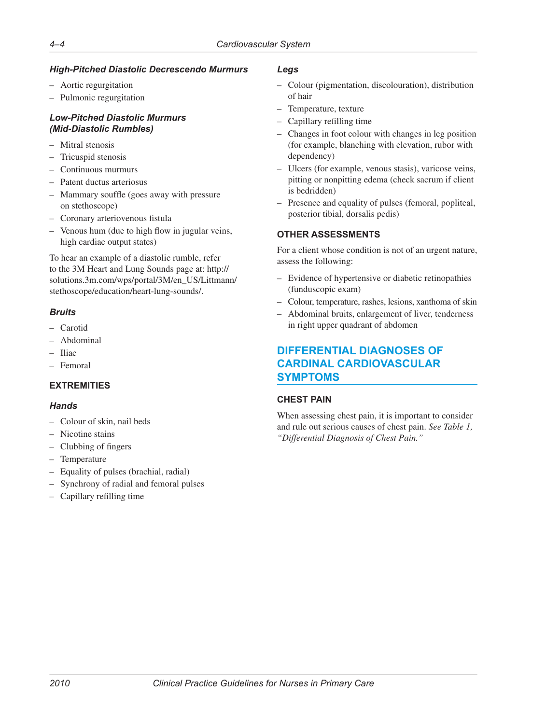# <span id="page-5-0"></span>*High-Pitched Diastolic Decrescendo Murmurs*

- Aortic regurgitation
- Pulmonic regurgitation

# *Low-Pitched Diastolic Murmurs (Mid-Diastolic Rumbles)*

- Mitral stenosis
- Tricuspid stenosis
- Continuous murmurs
- Patent ductus arteriosus
- Mammary souffle (goes away with pressure on stethoscope)
- Coronary arteriovenous fistula
- Venous hum (due to high flow in jugular veins, high cardiac output states)

To hear an example of a diastolic rumble, refer to the 3M Heart and Lung Sounds page at: [http://](http://solutions.3m.com/wps/portal/3M/en_US/Littmann/stethoscope/education/heart-lung-sounds/) [solutions.3m.com/wps/portal/3M/en\\_US/Littmann/](http://solutions.3m.com/wps/portal/3M/en_US/Littmann/stethoscope/education/heart-lung-sounds/) [stethoscope/education/heart-lung-sounds/](http://solutions.3m.com/wps/portal/3M/en_US/Littmann/stethoscope/education/heart-lung-sounds/).

# *Bruits*

- Carotid
- Abdominal
- Iliac
- Femoral

# **EXTREMITIES**

# *Hands*

- Colour of skin, nail beds
- Nicotine stains
- Clubbing of fingers
- Temperature
- Equality of pulses (brachial, radial)
- Synchrony of radial and femoral pulses
- Capillary refilling time

### *Legs*

- Colour (pigmentation, discolouration), distribution of hair
- Temperature, texture
- Capillary refilling time
- Changes in foot colour with changes in leg position (for example, blanching with elevation, rubor with dependency)
- Ulcers (for example, venous stasis), varicose veins, pitting or nonpitting edema (check sacrum if client is bedridden)
- Presence and equality of pulses (femoral, popliteal, posterior tibial, dorsalis pedis)

# **OTHER ASSESSMENTS**

For a client whose condition is not of an urgent nature, assess the following:

- Evidence of hypertensive or diabetic retinopathies (funduscopic exam)
- Colour, temperature, rashes, lesions, xanthoma of skin
- Abdominal bruits, enlargement of liver, tenderness in right upper quadrant of abdomen

# **DIFFERENTIAL DIAGNOSES OF CARDINAL CARDIOVASCULAR SYMPTOMS**

# **CHEST PAIN**

When assessing chest pain, it is important to consider and rule out serious causes of chest pain. *See Table 1, "Differential Diagnosis of Chest Pain."*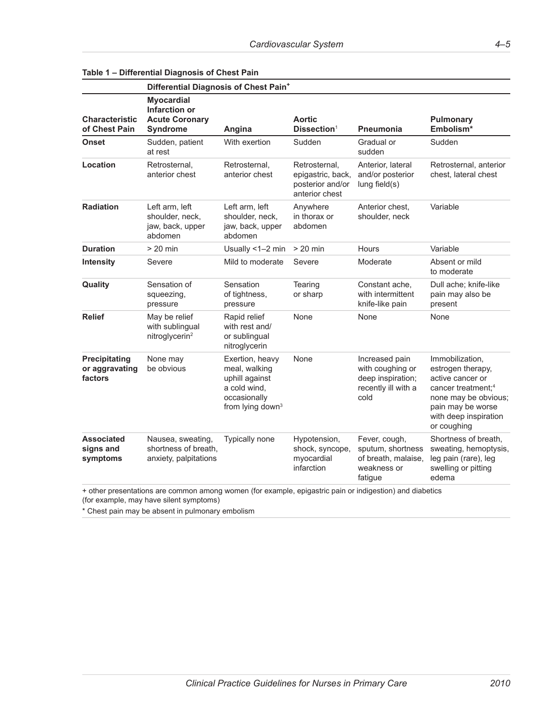|                                            | Differential Diagnosis of Chest Pain <sup>+</sup>                                                                                                                              |                                                                                                                    |                                                                          |                                                                                        |                                                                                                                                                                                 |
|--------------------------------------------|--------------------------------------------------------------------------------------------------------------------------------------------------------------------------------|--------------------------------------------------------------------------------------------------------------------|--------------------------------------------------------------------------|----------------------------------------------------------------------------------------|---------------------------------------------------------------------------------------------------------------------------------------------------------------------------------|
| <b>Characteristic</b><br>of Chest Pain     | <b>Myocardial</b><br>Infarction or<br><b>Acute Coronary</b><br>Syndrome                                                                                                        | Angina                                                                                                             | <b>Aortic</b><br>Dissection <sup>1</sup>                                 | <b>Pneumonia</b>                                                                       | <b>Pulmonary</b><br>Embolism <sup>*</sup>                                                                                                                                       |
| Onset                                      | Sudden, patient<br>at rest                                                                                                                                                     | With exertion                                                                                                      | Sudden                                                                   | Gradual or<br>sudden                                                                   | Sudden                                                                                                                                                                          |
| Location                                   | Retrosternal,<br>anterior chest                                                                                                                                                | Retrosternal,<br>anterior chest                                                                                    | Retrosternal,<br>epigastric, back,<br>posterior and/or<br>anterior chest | Anterior, lateral<br>and/or posterior<br>lung field(s)                                 | Retrosternal, anterior<br>chest, lateral chest                                                                                                                                  |
| <b>Radiation</b>                           | Left arm, left<br>shoulder, neck,<br>jaw, back, upper<br>abdomen                                                                                                               | Left arm, left<br>shoulder, neck,<br>jaw, back, upper<br>abdomen                                                   | Anywhere<br>in thorax or<br>abdomen                                      | Anterior chest,<br>shoulder, neck                                                      | Variable                                                                                                                                                                        |
| <b>Duration</b>                            | $> 20$ min                                                                                                                                                                     | Usually <1-2 min                                                                                                   | $> 20$ min                                                               | Hours                                                                                  | Variable                                                                                                                                                                        |
| <b>Intensity</b>                           | Severe                                                                                                                                                                         | Mild to moderate                                                                                                   | Severe                                                                   | Moderate                                                                               | Absent or mild<br>to moderate                                                                                                                                                   |
| Quality                                    | Sensation of<br>squeezing,<br>pressure                                                                                                                                         | Sensation<br>of tightness,<br>pressure                                                                             | Tearing<br>or sharp                                                      | Constant ache,<br>with intermittent<br>knife-like pain                                 | Dull ache; knife-like<br>pain may also be<br>present                                                                                                                            |
| <b>Relief</b>                              | May be relief<br>with sublingual<br>nitroglycerin <sup>2</sup>                                                                                                                 | Rapid relief<br>with rest and/<br>or sublingual<br>nitroglycerin                                                   | None                                                                     | None                                                                                   | None                                                                                                                                                                            |
| Precipitating<br>or aggravating<br>factors | None may<br>be obvious                                                                                                                                                         | Exertion, heavy<br>meal, walking<br>uphill against<br>a cold wind,<br>occasionally<br>from lying down <sup>3</sup> | None                                                                     | Increased pain<br>with coughing or<br>deep inspiration;<br>recently ill with a<br>cold | Immobilization,<br>estrogen therapy,<br>active cancer or<br>cancer treatment; <sup>4</sup><br>none may be obvious;<br>pain may be worse<br>with deep inspiration<br>or coughing |
| <b>Associated</b><br>signs and<br>symptoms | Nausea, sweating,<br>shortness of breath,<br>anxiety, palpitations<br>+ other presentations are common among women (for example, epigastric pain or indigestion) and diabetics | Typically none                                                                                                     | Hypotension,<br>shock, syncope,<br>myocardial<br>infarction              | Fever, cough,<br>sputum, shortness<br>of breath, malaise,<br>weakness or<br>fatigue    | Shortness of breath,<br>sweating, hemoptysis,<br>leg pain (rare), leg<br>swelling or pitting<br>edema                                                                           |

### **Table 1 – Differential Diagnosis of Chest Pain**

(for example, may have silent symptoms) \* Chest pain may be absent in pulmonary embolism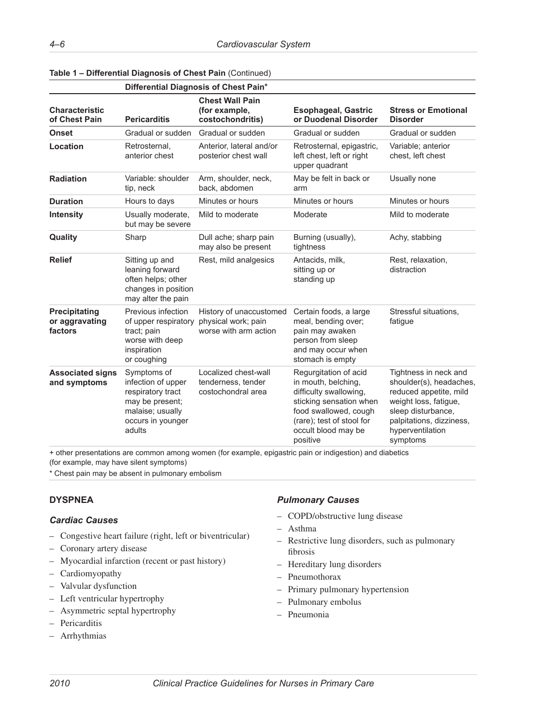|                                                   | Differential Diagnosis of Chest Pain <sup>+</sup>                                                                            |                                                                         |                                                                                                                                                                                            |                                                                                                                                                                                       |  |
|---------------------------------------------------|------------------------------------------------------------------------------------------------------------------------------|-------------------------------------------------------------------------|--------------------------------------------------------------------------------------------------------------------------------------------------------------------------------------------|---------------------------------------------------------------------------------------------------------------------------------------------------------------------------------------|--|
| <b>Characteristic</b><br>of Chest Pain            | <b>Pericarditis</b>                                                                                                          | <b>Chest Wall Pain</b><br>(for example,<br>costochondritis)             | <b>Esophageal, Gastric</b><br>or Duodenal Disorder                                                                                                                                         | <b>Stress or Emotional</b><br><b>Disorder</b>                                                                                                                                         |  |
| <b>Onset</b>                                      | Gradual or sudden                                                                                                            | Gradual or sudden                                                       | Gradual or sudden                                                                                                                                                                          | Gradual or sudden                                                                                                                                                                     |  |
| Location                                          | Retrosternal,<br>anterior chest                                                                                              | Anterior, lateral and/or<br>posterior chest wall                        | Retrosternal, epigastric,<br>left chest, left or right<br>upper quadrant                                                                                                                   | Variable; anterior<br>chest, left chest                                                                                                                                               |  |
| <b>Radiation</b>                                  | Variable: shoulder<br>tip, neck                                                                                              | Arm, shoulder, neck,<br>back, abdomen                                   | May be felt in back or<br>arm                                                                                                                                                              | Usually none                                                                                                                                                                          |  |
| <b>Duration</b>                                   | Hours to days                                                                                                                | Minutes or hours                                                        | Minutes or hours                                                                                                                                                                           | Minutes or hours                                                                                                                                                                      |  |
| <b>Intensity</b>                                  | Usually moderate,<br>but may be severe                                                                                       | Mild to moderate                                                        | Moderate                                                                                                                                                                                   | Mild to moderate                                                                                                                                                                      |  |
| Quality                                           | Sharp                                                                                                                        | Dull ache; sharp pain<br>may also be present                            | Burning (usually),<br>tightness                                                                                                                                                            | Achy, stabbing                                                                                                                                                                        |  |
| <b>Relief</b>                                     | Sitting up and<br>leaning forward<br>often helps; other<br>changes in position<br>may alter the pain                         | Rest, mild analgesics                                                   | Antacids, milk,<br>sitting up or<br>standing up                                                                                                                                            | Rest, relaxation,<br>distraction                                                                                                                                                      |  |
| <b>Precipitating</b><br>or aggravating<br>factors | Previous infection<br>of upper respiratory<br>tract; pain<br>worse with deep<br>inspiration<br>or coughing                   | History of unaccustomed<br>physical work; pain<br>worse with arm action | Certain foods, a large<br>meal, bending over;<br>pain may awaken<br>person from sleep<br>and may occur when<br>stomach is empty                                                            | Stressful situations,<br>fatigue                                                                                                                                                      |  |
| <b>Associated signs</b><br>and symptoms           | Symptoms of<br>infection of upper<br>respiratory tract<br>may be present;<br>malaise; usually<br>occurs in younger<br>adults | Localized chest-wall<br>tenderness, tender<br>costochondral area        | Regurgitation of acid<br>in mouth, belching,<br>difficulty swallowing,<br>sticking sensation when<br>food swallowed, cough<br>(rare); test of stool for<br>occult blood may be<br>positive | Tightness in neck and<br>shoulder(s), headaches,<br>reduced appetite, mild<br>weight loss, fatigue,<br>sleep disturbance,<br>palpitations, dizziness,<br>hyperventilation<br>symptoms |  |

**Table 1 – Differential Diagnosis of Chest Pain** (Continued)

+ other presentations are common among women (for example, epigastric pain or indigestion) and diabetics

(for example, may have silent symptoms)

\* Chest pain may be absent in pulmonary embolism

# **DYSPNEA**

# *Cardiac Causes*

- Congestive heart failure (right, left or biventricular)
- Coronary artery disease
- Myocardial infarction (recent or past history)
- Cardiomyopathy
- Valvular dysfunction
- Left ventricular hypertrophy
- Asymmetric septal hypertrophy
- Pericarditis
- Arrhythmias

#### *Pulmonary Causes*

- COPD/obstructive lung disease
- Asthma
- Restrictive lung disorders, such as pulmonary fibrosis
- Hereditary lung disorders
- Pneumothorax
- Primary pulmonary hypertension
- Pulmonary embolus
- Pneumonia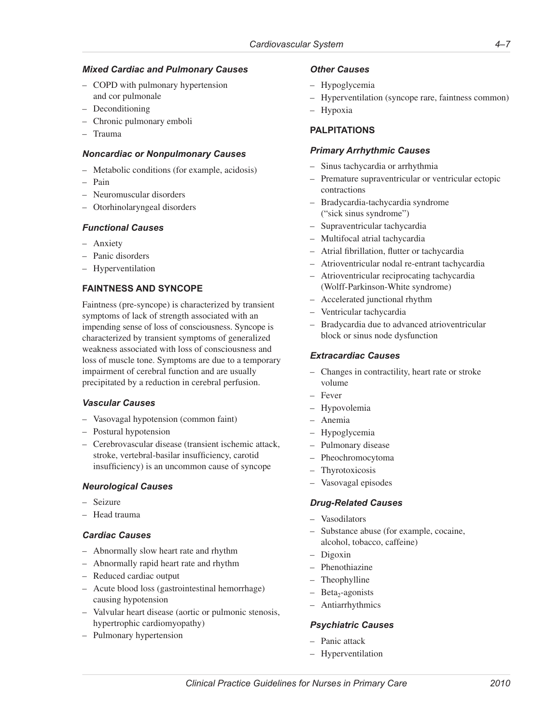#### *Mixed Cardiac and Pulmonary Causes*

- COPD with pulmonary hypertension and cor pulmonale
- Deconditioning
- Chronic pulmonary emboli
- Trauma

#### *Noncardiac or Nonpulmonary Causes*

- Metabolic conditions (for example, acidosis)
- Pain
- Neuromuscular disorders
- Otorhinolaryngeal disorders

### *Functional Causes*

- Anxiety
- Panic disorders
- Hyperventilation

# **FAINTNESS AND SYNCOPE**

Faintness (pre-syncope) is characterized by transient symptoms of lack of strength associated with an impending sense of loss of consciousness. Syncope is characterized by transient symptoms of generalized weakness associated with loss of consciousness and loss of muscle tone. Symptoms are due to a temporary impairment of cerebral function and are usually precipitated by a reduction in cerebral perfusion.

#### *Vascular Causes*

- Vasovagal hypotension (common faint)
- Postural hypotension
- Cerebrovascular disease (transient ischemic attack, stroke, vertebral-basilar insufficiency, carotid insufficiency) is an uncommon cause of syncope

# *Neurological Causes*

- Seizure
- Head trauma

# *Cardiac Causes*

- Abnormally slow heart rate and rhythm
- Abnormally rapid heart rate and rhythm
- Reduced cardiac output
- Acute blood loss (gastrointestinal hemorrhage) causing hypotension
- Valvular heart disease (aortic or pulmonic stenosis, hypertrophic cardiomyopathy)
- Pulmonary hypertension

### *Other Causes*

- Hypoglycemia
- Hyperventilation (syncope rare, faintness common)
- Hypoxia

# **PALPITATIONS**

### *Primary Arrhythmic Causes*

- Sinus tachycardia or arrhythmia
- Premature supraventricular or ventricular ectopic contractions
- Bradycardia-tachycardia syndrome ("sick sinus syndrome")
- Supraventricular tachycardia
- Multifocal atrial tachycardia
- Atrial fibrillation, flutter or tachycardia
- Atrioventricular nodal re-entrant tachycardia
- Atrioventricular reciprocating tachycardia (Wolff-Parkinson-White syndrome)
- Accelerated junctional rhythm
- Ventricular tachycardia
- Bradycardia due to advanced atrioventricular block or sinus node dysfunction

### *Extracardiac Causes*

- Changes in contractility, heart rate or stroke volume
- Fever
- Hypovolemia
- Anemia
- Hypoglycemia
- Pulmonary disease
- Pheochromocytoma
- Thyrotoxicosis
- Vasovagal episodes

#### *Drug-Related Causes*

- Vasodilators
- Substance abuse (for example, cocaine, alcohol, tobacco, caffeine)
- Digoxin
- Phenothiazine
- **Theophylline**
- $-$  Beta<sub>2</sub>-agonists
- Antiarrhythmics

# *Psychiatric Causes*

- Panic attack
- Hyperventilation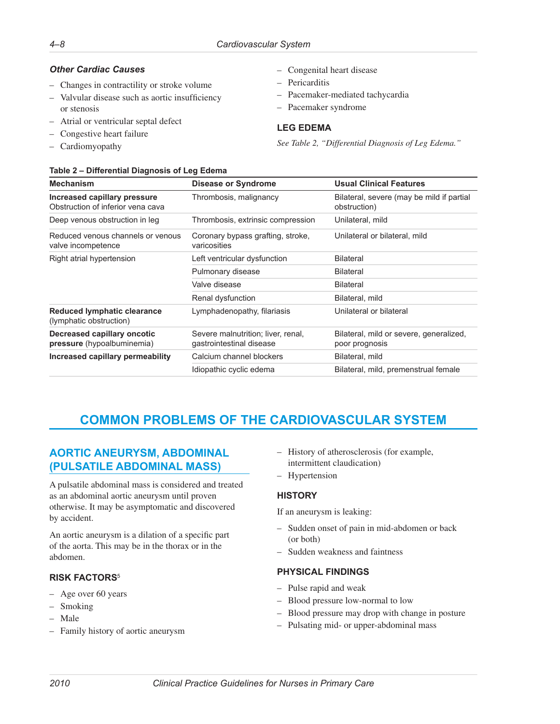# <span id="page-9-0"></span>*Other Cardiac Causes*

- Changes in contractility or stroke volume
- Valvular disease such as aortic insufficiency or stenosis

**Table 2 – Differential Diagnosis of Leg Edema**

- Atrial or ventricular septal defect
- Congestive heart failure
- Cardiomyopathy
- Congenital heart disease
- Pericarditis
- Pacemaker-mediated tachycardia
- Pacemaker syndrome

# **LEG EDEMA**

*See Table 2, "Differential Diagnosis of Leg Edema."*

| Table 2 – Differential Diagnosis of Leg Edema                     |                                                                |                                                           |  |
|-------------------------------------------------------------------|----------------------------------------------------------------|-----------------------------------------------------------|--|
| <b>Mechanism</b>                                                  | Disease or Syndrome                                            | <b>Usual Clinical Features</b>                            |  |
| Increased capillary pressure<br>Obstruction of inferior vena cava | Thrombosis, malignancy                                         | Bilateral, severe (may be mild if partial<br>obstruction) |  |
| Deep venous obstruction in leg                                    | Thrombosis, extrinsic compression                              | Unilateral, mild                                          |  |
| Reduced venous channels or venous<br>valve incompetence           | Coronary bypass grafting, stroke,<br>varicosities              | Unilateral or bilateral, mild                             |  |
| Right atrial hypertension                                         | Left ventricular dysfunction                                   | <b>Bilateral</b>                                          |  |
|                                                                   | Pulmonary disease                                              | <b>Bilateral</b>                                          |  |
|                                                                   | Valve disease                                                  | <b>Bilateral</b>                                          |  |
|                                                                   | Renal dysfunction                                              | Bilateral, mild                                           |  |
| <b>Reduced lymphatic clearance</b><br>(lymphatic obstruction)     | Lymphadenopathy, filariasis                                    | Unilateral or bilateral                                   |  |
| Decreased capillary oncotic<br>pressure (hypoalbuminemia)         | Severe malnutrition; liver, renal,<br>gastrointestinal disease | Bilateral, mild or severe, generalized,<br>poor prognosis |  |
| Increased capillary permeability                                  | Calcium channel blockers                                       | Bilateral, mild                                           |  |
|                                                                   | Idiopathic cyclic edema                                        | Bilateral, mild, premenstrual female                      |  |

# **COMMON PROBLEMS OF THE CARDIOVASCULAR SYSTEM**

# **AORTIC ANEURYSM, ABDOMINAL (PULSATILE ABDOMINAL MASS)**

A pulsatile abdominal mass is considered and treated as an abdominal aortic aneurysm until proven otherwise. It may be asymptomatic and discovered by accident.

An aortic aneurysm is a dilation of a specific part of the aorta. This may be in the thorax or in the abdomen.

# **RISK FACTORS**<sup>5</sup>

- Age over 60 years
- Smoking
- Male
- Family history of aortic aneurysm
- History of atherosclerosis (for example, intermittent claudication)
- Hypertension

# **HISTORY**

If an aneurysm is leaking:

- Sudden onset of pain in mid-abdomen or back (or both)
- Sudden weakness and faintness

# **PHYSICAL FINDINGS**

- Pulse rapid and weak
- Blood pressure low-normal to low
- Blood pressure may drop with change in posture
- Pulsating mid- or upper-abdominal mass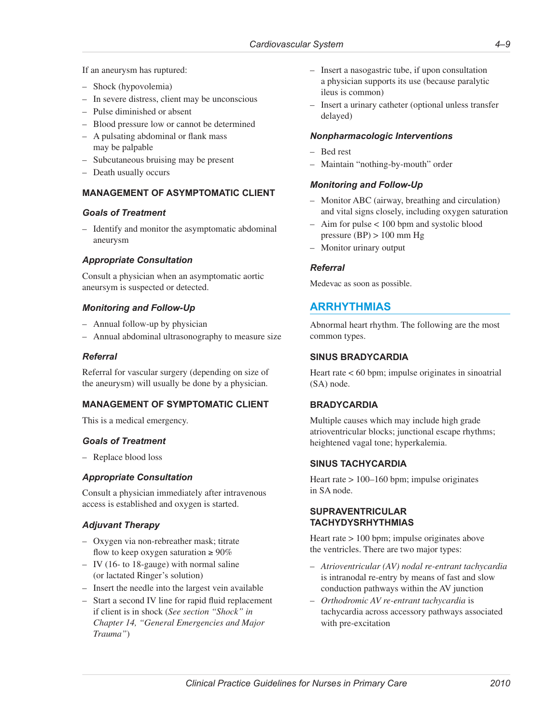<span id="page-10-0"></span>If an aneurysm has ruptured:

- Shock (hypovolemia)
- In severe distress, client may be unconscious
- Pulse diminished or absent
- Blood pressure low or cannot be determined
- A pulsating abdominal or flank mass may be palpable
- Subcutaneous bruising may be present
- Death usually occurs

# **MANAGEMENT OF ASYMPTOMATIC CLIENT**

### *Goals of Treatment*

– Identify and monitor the asymptomatic abdominal aneurysm

# *Appropriate Consultation*

Consult a physician when an asymptomatic aortic aneursym is suspected or detected.

# *Monitoring and Follow-Up*

- Annual follow-up by physician
- Annual abdominal ultrasonography to measure size

# *Referral*

Referral for vascular surgery (depending on size of the aneurysm) will usually be done by a physician.

# **MANAGEMENT OF SYMPTOMATIC CLIENT**

This is a medical emergency.

#### *Goals of Treatment*

– Replace blood loss

# *Appropriate Consultation*

Consult a physician immediately after intravenous access is established and oxygen is started.

# *Adjuvant Therapy*

- Oxygen via non-rebreather mask; titrate flow to keep oxygen saturation  $\geq 90\%$
- IV (16- to 18-gauge) with normal saline (or lactated Ringer's solution)
- Insert the needle into the largest vein available
- Start a second IV line for rapid fluid replacement if client is in shock (*See section "Shock" in Chapter 14, "General Emergencies and Major Trauma"*)
- Insert a nasogastric tube, if upon consultation a physician supports its use (because paralytic ileus is common)
- Insert a urinary catheter (optional unless transfer delayed)

### *Nonpharmacologic Interventions*

- Bed rest
- Maintain "nothing-by-mouth" order

### *Monitoring and Follow-Up*

- Monitor ABC (airway, breathing and circulation) and vital signs closely, including oxygen saturation
- Aim for pulse < 100 bpm and systolic blood pressure  $(BP) > 100$  mm Hg
- Monitor urinary output

### *Referral*

Medevac as soon as possible.

# **ARRHYTHMIAS**

Abnormal heart rhythm. The following are the most common types.

### **SINUS BRADYCARDIA**

Heart rate  $< 60$  bpm; impulse originates in sinoatrial (SA) node.

# **BRADYCARDIA**

Multiple causes which may include high grade atrioventricular blocks; junctional escape rhythms; heightened vagal tone; hyperkalemia.

# **SINUS TACHYCARDIA**

Heart rate  $> 100-160$  bpm; impulse originates in SA node.

#### **SUPRAVENTRICULAR TACHYDYSRHYTHMIAS**

Heart rate > 100 bpm; impulse originates above the ventricles. There are two major types:

- *Atrioventricular (AV) nodal re-entrant tachycardia* is intranodal re-entry by means of fast and slow conduction pathways within the AV junction
- *Orthodromic AV re-entrant tachycardia* is tachycardia across accessory pathways associated with pre-excitation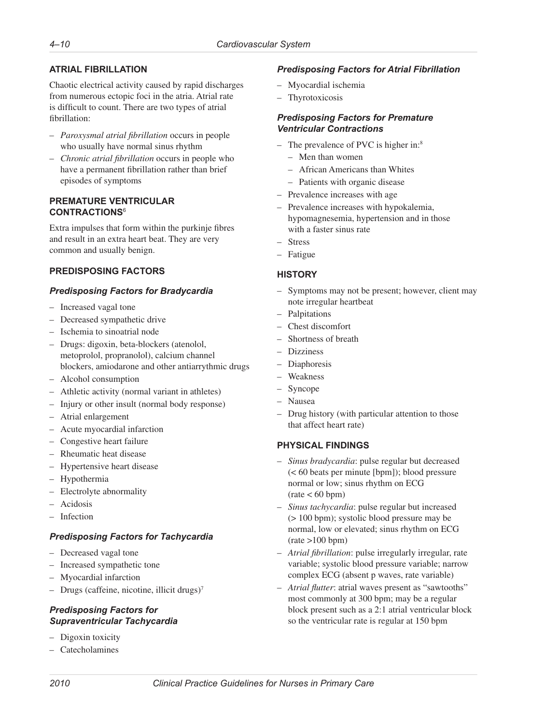# **ATRIAL FIBRILLATION**

Chaotic electrical activity caused by rapid discharges from numerous ectopic foci in the atria. Atrial rate is difficult to count. There are two types of atrial fibrillation:

- *Paroxysmal atrial fibrillation* occurs in people who usually have normal sinus rhythm
- *Chronic atrial fibrillation* occurs in people who have a permanent fibrillation rather than brief episodes of symptoms

#### **PREMATURE VENTRICULAR CONTRACTIONS**<sup>6</sup>

Extra impulses that form within the purkinje fibres and result in an extra heart beat. They are very common and usually benign.

# **PREDISPOSING FACTORS**

# *Predisposing Factors for Bradycardia*

- Increased vagal tone
- Decreased sympathetic drive
- Ischemia to sinoatrial node
- Drugs: digoxin, beta-blockers (atenolol, metoprolol, propranolol), calcium channel blockers, amiodarone and other antiarrythmic drugs
- Alcohol consumption
- Athletic activity (normal variant in athletes)
- Injury or other insult (normal body response)
- Atrial enlargement
- Acute myocardial infarction
- Congestive heart failure
- Rheumatic heat disease
- Hypertensive heart disease
- Hypothermia
- Electrolyte abnormality
- Acidosis
- Infection

# *Predisposing Factors for Tachycardia*

- Decreased vagal tone
- Increased sympathetic tone
- Myocardial infarction
- Drugs (caffeine, nicotine, illicit drugs)7

### *Predisposing Factors for Supraventricular Tachycardia*

- Digoxin toxicity
- Catecholamines

# *Predisposing Factors for Atrial Fibrillation*

- Myocardial ischemia
- Thyrotoxicosis

#### *Predisposing Factors for Premature Ventricular Contractions*

- The prevalence of PVC is higher in:<sup>8</sup>
	- Men than women
	- African Americans than Whites
	- Patients with organic disease
- Prevalence increases with age
- Prevalence increases with hypokalemia, hypomagnesemia, hypertension and in those with a faster sinus rate
- **Stress**
- Fatigue

# **HISTORY**

- Symptoms may not be present; however, client may note irregular heartbeat
- Palpitations
- Chest discomfort
- Shortness of breath
- Dizziness
- Diaphoresis
- Weakness
- Syncope
- Nausea
- Drug history (with particular attention to those that affect heart rate)

# **PHYSICAL FINDINGS**

- *Sinus bradycardia*: pulse regular but decreased (< 60 beats per minute [bpm]); blood pressure normal or low; sinus rhythm on ECG  $(\text{rate} < 60 \text{ bpm})$
- *Sinus tachycardia*: pulse regular but increased (> 100 bpm); systolic blood pressure may be normal, low or elevated; sinus rhythm on ECG  $(rate >100$  bpm)
- *Atrial fibrillation*: pulse irregularly irregular, rate variable; systolic blood pressure variable; narrow complex ECG (absent p waves, rate variable)
- *Atrial flutter*: atrial waves present as "sawtooths" most commonly at 300 bpm; may be a regular block present such as a 2:1 atrial ventricular block so the ventricular rate is regular at 150 bpm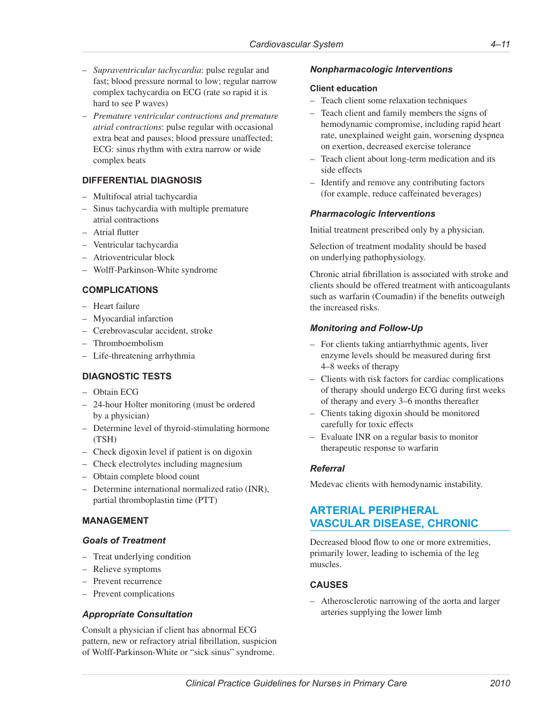- <span id="page-12-0"></span>– *Supraventricular tachycardia*: pulse regular and fast; blood pressure normal to low; regular narrow complex tachycardia on ECG (rate so rapid it is hard to see P waves)
- *Premature ventricular contractions and premature atrial contractions*: pulse regular with occasional extra beat and pauses; blood pressure unaffected; ECG: sinus rhythm with extra narrow or wide complex beats

# **DIFFERENTIAL DIAGNOSIS**

- Multifocal atrial tachycardia
- Sinus tachycardia with multiple premature atrial contractions
- Atrial flutter
- Ventricular tachycardia
- Atrioventricular block
- Wolff-Parkinson-White syndrome

### **COMPLICATIONS**

- Heart failure
- Myocardial infarction
- Cerebrovascular accident, stroke
- Thromboembolism
- Life-threatening arrhythmia

#### **DIAGNOSTIC TESTS**

- Obtain ECG
- 24-hour Holter monitoring (must be ordered by a physician)
- Determine level of thyroid-stimulating hormone (TSH)
- Check digoxin level if patient is on digoxin
- Check electrolytes including magnesium
- Obtain complete blood count
- Determine international normalized ratio (INR), partial thromboplastin time (PTT)

#### **MANAGEMENT**

#### *Goals of Treatment*

- Treat underlying condition
- Relieve symptoms
- Prevent recurrence
- Prevent complications

#### *Appropriate Consultation*

Consult a physician if client has abnormal ECG pattern, new or refractory atrial fibrillation, suspicion of Wolff-Parkinson-White or "sick sinus" syndrome.

#### *Nonpharmacologic Interventions*

#### **Client education**

- Teach client some relaxation techniques
- Teach client and family members the signs of hemodynamic compromise, including rapid heart rate, unexplained weight gain, worsening dyspnea on exertion, decreased exercise tolerance
- Teach client about long-term medication and its side effects
- Identify and remove any contributing factors (for example, reduce caffeinated beverages)

#### *Pharmacologic Interventions*

Initial treatment prescribed only by a physician.

Selection of treatment modality should be based on underlying pathophysiology.

Chronic atrial fibrillation is associated with stroke and clients should be offered treatment with anticoagulants such as warfarin (Coumadin) if the benefits outweigh the increased risks.

### *Monitoring and Follow-Up*

- For clients taking antiarrhythmic agents, liver enzyme levels should be measured during first 4–8 weeks of therapy
- Clients with risk factors for cardiac complications of therapy should undergo ECG during first weeks of therapy and every 3–6 months thereafter
- Clients taking digoxin should be monitored carefully for toxic effects
- Evaluate INR on a regular basis to monitor therapeutic response to warfarin

#### *Referral*

Medevac clients with hemodynamic instability.

# **ARTERIAL PERIPHERAL VASCULAR DISEASE, CHRONIC**

Decreased blood flow to one or more extremities, primarily lower, leading to ischemia of the leg muscles.

#### **CAUSES**

– Atherosclerotic narrowing of the aorta and larger arteries supplying the lower limb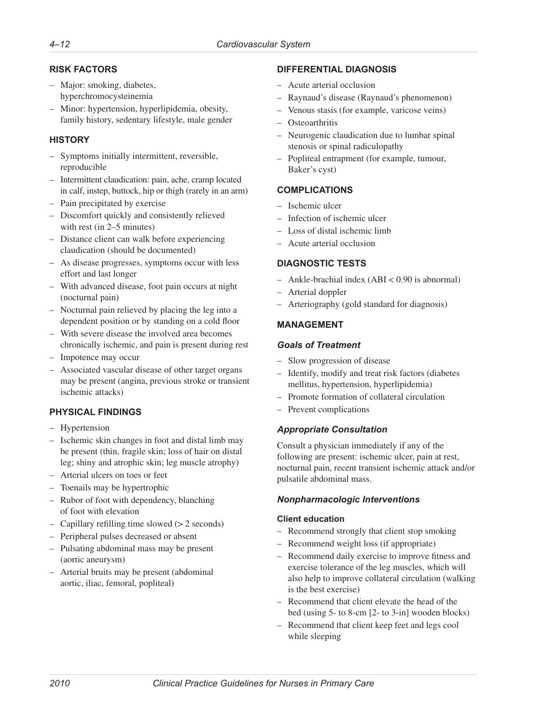# **RISK FACTORS**

- Major: smoking, diabetes, hyperchromocysteinemia
- Minor: hypertension, hyperlipidemia, obesity, family history, sedentary lifestyle, male gender

# **HISTORY**

- Symptoms initially intermittent, reversible, reproducible
- Intermittent claudication: pain, ache, cramp located in calf, instep, buttock, hip or thigh (rarely in an arm)
- Pain precipitated by exercise
- Discomfort quickly and consistently relieved with rest (in 2–5 minutes)
- Distance client can walk before experiencing claudication (should be documented)
- As disease progresses, symptoms occur with less effort and last longer
- With advanced disease, foot pain occurs at night (nocturnal pain)
- Nocturnal pain relieved by placing the leg into a dependent position or by standing on a cold floor
- With severe disease the involved area becomes chronically ischemic, and pain is present during rest
- Impotence may occur
- Associated vascular disease of other target organs may be present (angina, previous stroke or transient ischemic attacks)

# **PHYSICAL FINDINGS**

- Hypertension
- Ischemic skin changes in foot and distal limb may be present (thin, fragile skin; loss of hair on distal leg; shiny and atrophic skin; leg muscle atrophy)
- Arterial ulcers on toes or feet
- Toenails may be hypertrophic
- Rubor of foot with dependency, blanching of foot with elevation
- Capillary refilling time slowed (> 2 seconds)
- Peripheral pulses decreased or absent
- Pulsating abdominal mass may be present (aortic aneurysm)
- Arterial bruits may be present (abdominal aortic, iliac, femoral, popliteal)

# **DIFFERENTIAL DIAGNOSIS**

- Acute arterial occlusion
- Raynaud's disease (Raynaud's phenomenon)
- Venous stasis (for example, varicose veins)
- Osteoarthritis
- Neurogenic claudication due to lumbar spinal stenosis or spinal radiculopathy
- Popliteal entrapment (for example, tumour, Baker's cyst)

# **COMPLICATIONS**

- Ischemic ulcer
- Infection of ischemic ulcer
- Loss of distal ischemic limb
- Acute arterial occlusion

# **DIAGNOSTIC TESTS**

- Ankle-brachial index (ABI < 0.90 is abnormal)
- Arterial doppler
- Arteriography (gold standard for diagnosis)

# **MANAGEMENT**

### *Goals of Treatment*

- Slow progression of disease
- Identify, modify and treat risk factors (diabetes mellitus, hypertension, hyperlipidemia)
- Promote formation of collateral circulation
- Prevent complications

# *Appropriate Consultation*

Consult a physician immediately if any of the following are present: ischemic ulcer, pain at rest, nocturnal pain, recent transient ischemic attack and/or pulsatile abdominal mass.

# *Nonpharmacologic Interventions*

#### **Client education**

- Recommend strongly that client stop smoking
- Recommend weight loss (if appropriate)
- Recommend daily exercise to improve fitness and exercise tolerance of the leg muscles, which will also help to improve collateral circulation (walking is the best exercise)
- Recommend that client elevate the head of the bed (using 5- to 8-cm [2- to 3-in] wooden blocks)
- Recommend that client keep feet and legs cool while sleeping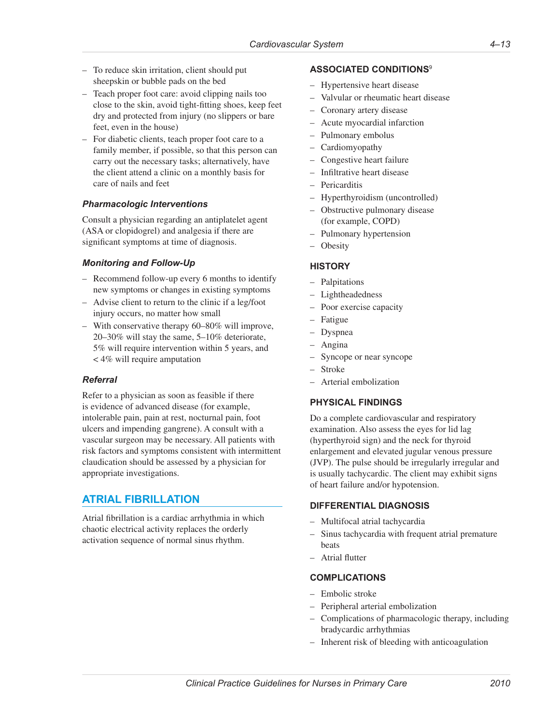- <span id="page-14-0"></span>– To reduce skin irritation, client should put sheepskin or bubble pads on the bed
- Teach proper foot care: avoid clipping nails too close to the skin, avoid tight-fitting shoes, keep feet dry and protected from injury (no slippers or bare feet, even in the house)
- For diabetic clients, teach proper foot care to a family member, if possible, so that this person can carry out the necessary tasks; alternatively, have the client attend a clinic on a monthly basis for care of nails and feet

# *Pharmacologic Interventions*

Consult a physician regarding an antiplatelet agent (ASA or clopidogrel) and analgesia if there are significant symptoms at time of diagnosis.

### *Monitoring and Follow-Up*

- Recommend follow-up every 6 months to identify new symptoms or changes in existing symptoms
- Advise client to return to the clinic if a leg/foot injury occurs, no matter how small
- With conservative therapy 60–80% will improve, 20–30% will stay the same, 5–10% deteriorate, 5% will require intervention within 5 years, and < 4% will require amputation

#### *Referral*

Refer to a physician as soon as feasible if there is evidence of advanced disease (for example, intolerable pain, pain at rest, nocturnal pain, foot ulcers and impending gangrene). A consult with a vascular surgeon may be necessary. All patients with risk factors and symptoms consistent with intermittent claudication should be assessed by a physician for appropriate investigations.

# **ATRIAL FIBRILLATION**

Atrial fibrillation is a cardiac arrhythmia in which chaotic electrical activity replaces the orderly activation sequence of normal sinus rhythm.

### **ASSOCIATED CONDITIONS**<sup>9</sup>

- Hypertensive heart disease
- Valvular or rheumatic heart disease
- Coronary artery disease
- Acute myocardial infarction
- Pulmonary embolus
- Cardiomyopathy
- Congestive heart failure
- Infiltrative heart disease
- Pericarditis
- Hyperthyroidism (uncontrolled)
- Obstructive pulmonary disease (for example, COPD)
- Pulmonary hypertension
- Obesity

#### **HISTORY**

- Palpitations
- Lightheadedness
- Poor exercise capacity
- Fatigue
- Dyspnea
- Angina
- Syncope or near syncope
- Stroke
- Arterial embolization

# **PHYSICAL FINDINGS**

Do a complete cardiovascular and respiratory examination. Also assess the eyes for lid lag (hyperthyroid sign) and the neck for thyroid enlargement and elevated jugular venous pressure (JVP). The pulse should be irregularly irregular and is usually tachycardic. The client may exhibit signs of heart failure and/or hypotension.

#### **DIFFERENTIAL DIAGNOSIS**

- Multifocal atrial tachycardia
- Sinus tachycardia with frequent atrial premature beats
- Atrial flutter

#### **COMPLICATIONS**

- Embolic stroke
- Peripheral arterial embolization
- Complications of pharmacologic therapy, including bradycardic arrhythmias
- Inherent risk of bleeding with anticoagulation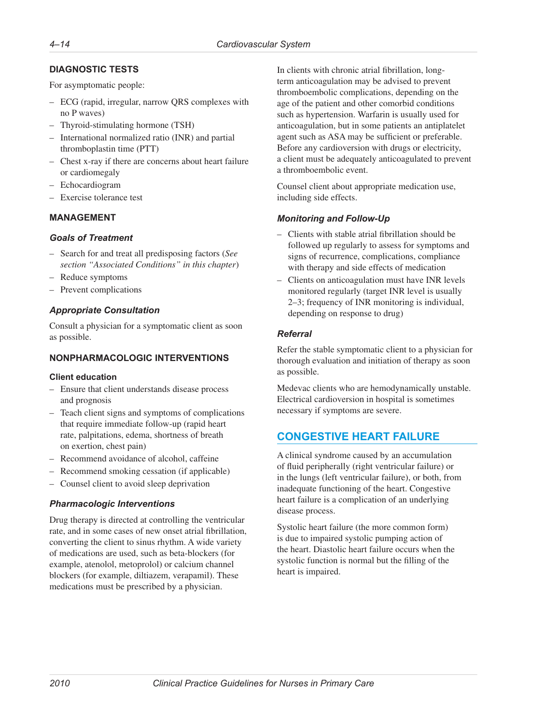# <span id="page-15-0"></span>**DIAGNOSTIC TESTS**

For asymptomatic people:

- ECG (rapid, irregular, narrow QRS complexes with no P waves)
- Thyroid-stimulating hormone (TSH)
- International normalized ratio (INR) and partial thromboplastin time (PTT)
- Chest x-ray if there are concerns about heart failure or cardiomegaly
- Echocardiogram
- Exercise tolerance test

# **MANAGEMENT**

# *Goals of Treatment*

- Search for and treat all predisposing factors (*See section "Associated Conditions" in this chapter*)
- Reduce symptoms
- Prevent complications

# *Appropriate Consultation*

Consult a physician for a symptomatic client as soon as possible.

# **NONPHARMACOLOGIC INTERVENTIONS**

#### **Client education**

- Ensure that client understands disease process and prognosis
- Teach client signs and symptoms of complications that require immediate follow-up (rapid heart rate, palpitations, edema, shortness of breath on exertion, chest pain)
- Recommend avoidance of alcohol, caffeine
- Recommend smoking cessation (if applicable)
- Counsel client to avoid sleep deprivation

# *Pharmacologic Interventions*

Drug therapy is directed at controlling the ventricular rate, and in some cases of new onset atrial fibrillation, converting the client to sinus rhythm. A wide variety of medications are used, such as beta-blockers (for example, atenolol, metoprolol) or calcium channel blockers (for example, diltiazem, verapamil). These medications must be prescribed by a physician.

In clients with chronic atrial fibrillation, longterm anticoagulation may be advised to prevent thromboembolic complications, depending on the age of the patient and other comorbid conditions such as hypertension. Warfarin is usually used for anticoagulation, but in some patients an antiplatelet agent such as ASA may be sufficient or preferable. Before any cardioversion with drugs or electricity, a client must be adequately anticoagulated to prevent a thromboembolic event.

Counsel client about appropriate medication use, including side effects.

# *Monitoring and Follow-Up*

- Clients with stable atrial fibrillation should be followed up regularly to assess for symptoms and signs of recurrence, complications, compliance with therapy and side effects of medication
- Clients on anticoagulation must have INR levels monitored regularly (target INR level is usually 2–3; frequency of INR monitoring is individual, depending on response to drug)

### *Referral*

Refer the stable symptomatic client to a physician for thorough evaluation and initiation of therapy as soon as possible.

Medevac clients who are hemodynamically unstable. Electrical cardioversion in hospital is sometimes necessary if symptoms are severe.

# **CONGESTIVE HEART FAILURE**

A clinical syndrome caused by an accumulation of fluid peripherally (right ventricular failure) or in the lungs (left ventricular failure), or both, from inadequate functioning of the heart. Congestive heart failure is a complication of an underlying disease process.

Systolic heart failure (the more common form) is due to impaired systolic pumping action of the heart. Diastolic heart failure occurs when the systolic function is normal but the filling of the heart is impaired.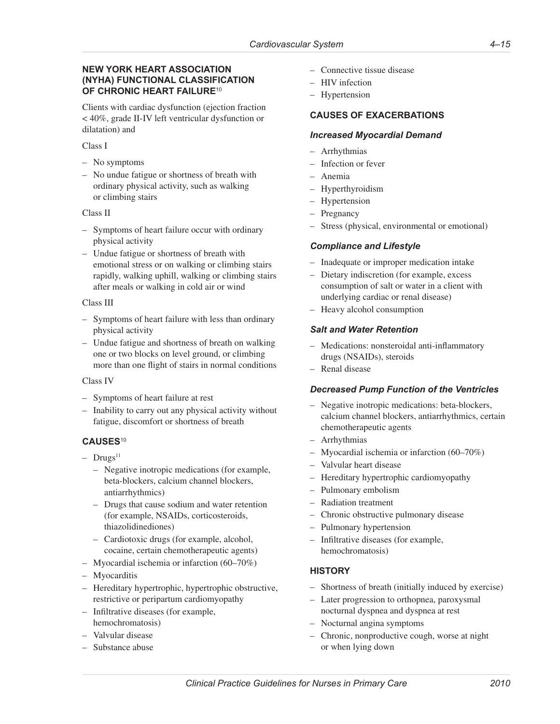### **NEW YORK HEART ASSOCIATION (NYHA) FUNCTIONAL CLASSIFICATION OF CHRONIC HEART FAILURE**<sup>10</sup>

Clients with cardiac dysfunction (ejection fraction < 40%, grade II-IV left ventricular dysfunction or dilatation) and

#### Class I

- No symptoms
- No undue fatigue or shortness of breath with ordinary physical activity, such as walking or climbing stairs

#### Class II

- Symptoms of heart failure occur with ordinary physical activity
- Undue fatigue or shortness of breath with emotional stress or on walking or climbing stairs rapidly, walking uphill, walking or climbing stairs after meals or walking in cold air or wind

#### Class III

- Symptoms of heart failure with less than ordinary physical activity
- Undue fatigue and shortness of breath on walking one or two blocks on level ground, or climbing more than one flight of stairs in normal conditions

#### Class IV

- Symptoms of heart failure at rest
- Inability to carry out any physical activity without fatigue, discomfort or shortness of breath

# **CAUSES**<sup>10</sup>

- $-$  Drugs<sup>11</sup>
	- Negative inotropic medications (for example, beta-blockers, calcium channel blockers, antiarrhythmics)
	- Drugs that cause sodium and water retention (for example, NSAIDs, corticosteroids, thiazolidinediones)
	- Cardiotoxic drugs (for example, alcohol, cocaine, certain chemotherapeutic agents)
- Myocardial ischemia or infarction (60–70%)
- Myocarditis
- Hereditary hypertrophic, hypertrophic obstructive, restrictive or peripartum cardiomyopathy
- Infiltrative diseases (for example, hemochromatosis)
- Valvular disease
- Substance abuse
- Connective tissue disease
- HIV infection
- Hypertension

# **CAUSES OF EXACERBATIONS**

#### *Increased Myocardial Demand*

- Arrhythmias
- Infection or fever
- Anemia
- Hyperthyroidism
- Hypertension
- Pregnancy
- Stress (physical, environmental or emotional)

# *Compliance and Lifestyle*

- Inadequate or improper medication intake
- Dietary indiscretion (for example, excess consumption of salt or water in a client with underlying cardiac or renal disease)
- Heavy alcohol consumption

# *Salt and Water Retention*

- Medications: nonsteroidal anti-inflammatory drugs (NSAIDs), steroids
- Renal disease

# *Decreased Pump Function of the Ventricles*

- Negative inotropic medications: beta-blockers, calcium channel blockers, antiarrhythmics, certain chemotherapeutic agents
- Arrhythmias
- Myocardial ischemia or infarction (60–70%)
- Valvular heart disease
- Hereditary hypertrophic cardiomyopathy
- Pulmonary embolism
- Radiation treatment
- Chronic obstructive pulmonary disease
- Pulmonary hypertension
- Infiltrative diseases (for example, hemochromatosis)

# **HISTORY**

- Shortness of breath (initially induced by exercise)
- Later progression to orthopnea, paroxysmal nocturnal dyspnea and dyspnea at rest
- Nocturnal angina symptoms
- Chronic, nonproductive cough, worse at night or when lying down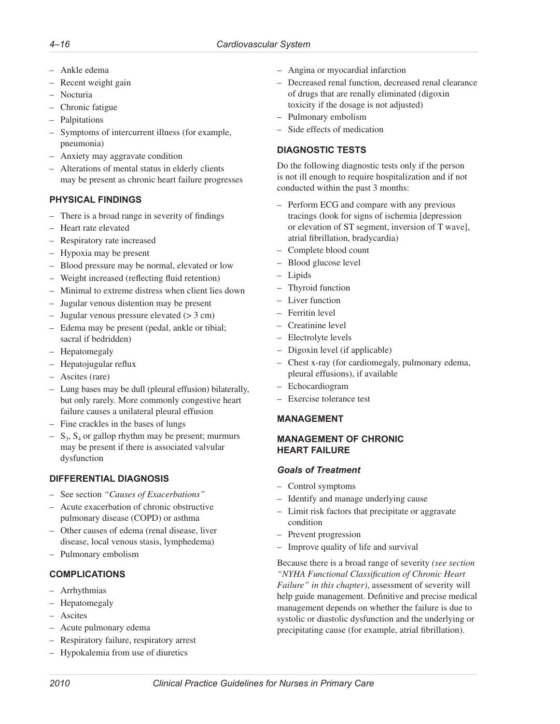- Ankle edema
- Recent weight gain
- Nocturia
- Chronic fatigue
- Palpitations
- Symptoms of intercurrent illness (for example, pneumonia)
- Anxiety may aggravate condition
- Alterations of mental status in elderly clients may be present as chronic heart failure progresses

# **PHYSICAL FINDINGS**

- There is a broad range in severity of findings
- Heart rate elevated
- Respiratory rate increased
- Hypoxia may be present
- Blood pressure may be normal, elevated or low
- Weight increased (reflecting fluid retention)
- Minimal to extreme distress when client lies down
- Jugular venous distention may be present
- Jugular venous pressure elevated  $(> 3 cm)$
- Edema may be present (pedal, ankle or tibial; sacral if bedridden)
- Hepatomegaly
- Hepatojugular reflux
- Ascites (rare)
- Lung bases may be dull (pleural effusion) bilaterally, but only rarely. More commonly congestive heart failure causes a unilateral pleural effusion
- Fine crackles in the bases of lungs
- $S_3$ ,  $S_4$  or gallop rhythm may be present; murmurs may be present if there is associated valvular dysfunction

# **DIFFERENTIAL DIAGNOSIS**

- See section *"Causes of Exacerbations"*
- Acute exacerbation of chronic obstructive pulmonary disease (COPD) or asthma
- Other causes of edema (renal disease, liver disease, local venous stasis, lymphedema)
- Pulmonary embolism

# **COMPLICATIONS**

- Arrhythmias
- Hepatomegaly
- Ascites
- Acute pulmonary edema
- Respiratory failure, respiratory arrest
- Hypokalemia from use of diuretics
- Angina or myocardial infarction
- Decreased renal function, decreased renal clearance of drugs that are renally eliminated (digoxin toxicity if the dosage is not adjusted)
- Pulmonary embolism
- Side effects of medication

# **DIAGNOSTIC TESTS**

Do the following diagnostic tests only if the person is not ill enough to require hospitalization and if not conducted within the past 3 months:

- Perform ECG and compare with any previous tracings (look for signs of ischemia [depression or elevation of ST segment, inversion of T wave], atrial fibrillation, bradycardia)
- Complete blood count
- Blood glucose level
- Lipids
- Thyroid function
- Liver function
- Ferritin level
- Creatinine level
- Electrolyte levels
- Digoxin level (if applicable)
- Chest x-ray (for cardiomegaly, pulmonary edema, pleural effusions), if available
- Echocardiogram
- Exercise tolerance test

# **MANAGEMENT**

#### **MANAGEMENT OF CHRONIC HEART FAILURE**

# *Goals of Treatment*

- Control symptoms
- Identify and manage underlying cause
- Limit risk factors that precipitate or aggravate condition
- Prevent progression
- Improve quality of life and survival

Because there is a broad range of severity *(see section "NYHA Functional Classification of Chronic Heart Failure" in this chapter)*, assessment of severity will help guide management. Definitive and precise medical management depends on whether the failure is due to systolic or diastolic dysfunction and the underlying or precipitating cause (for example, atrial fibrillation).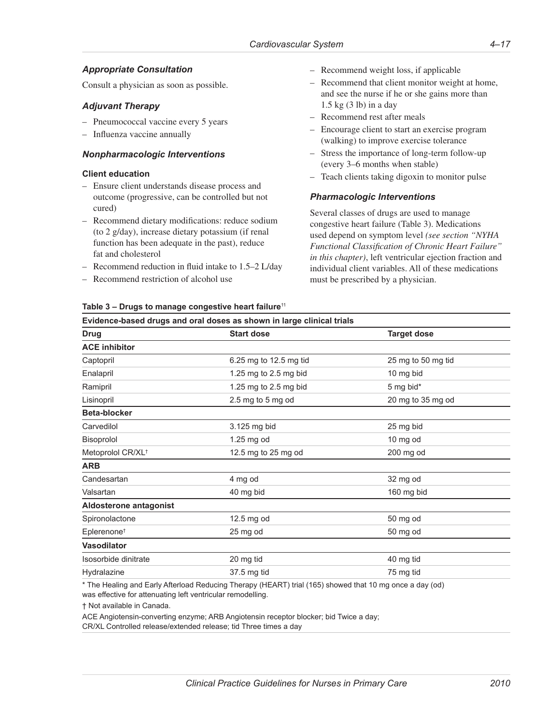# *Appropriate Consultation*

Consult a physician as soon as possible.

### *Adjuvant Therapy*

- Pneumococcal vaccine every 5 years
- Influenza vaccine annually

#### *Nonpharmacologic Interventions*

#### **Client education**

- Ensure client understands disease process and outcome (progressive, can be controlled but not cured)
- Recommend dietary modifications: reduce sodium (to 2 g/day), increase dietary potassium (if renal function has been adequate in the past), reduce fat and cholesterol
- Recommend reduction in fluid intake to 1.5–2 L/day

**Table 3 – Drugs to manage congestive heart failure**<sup>11</sup>

– Recommend restriction of alcohol use

- Recommend weight loss, if applicable
- Recommend that client monitor weight at home, and see the nurse if he or she gains more than 1.5 kg (3 lb) in a day
- Recommend rest after meals
- Encourage client to start an exercise program (walking) to improve exercise tolerance
- Stress the importance of long-term follow-up (every 3–6 months when stable)
- Teach clients taking digoxin to monitor pulse

#### *Pharmacologic Interventions*

Several classes of drugs are used to manage congestive heart failure (Table 3). Medications used depend on symptom level *(see section "NYHA Functional Classification of Chronic Heart Failure" in this chapter)*, left ventricular ejection fraction and individual client variables. All of these medications must be prescribed by a physician.

| Evidence-based drugs and oral doses as shown in large clinical trials |                        |                    |  |
|-----------------------------------------------------------------------|------------------------|--------------------|--|
| <b>Drug</b>                                                           | <b>Start dose</b>      | <b>Target dose</b> |  |
| <b>ACE inhibitor</b>                                                  |                        |                    |  |
| Captopril                                                             | 6.25 mg to 12.5 mg tid | 25 mg to 50 mg tid |  |
| Enalapril                                                             | 1.25 mg to 2.5 mg bid  | 10 mg bid          |  |
| Ramipril                                                              | 1.25 mg to 2.5 mg bid  | 5 mg bid*          |  |
| Lisinopril                                                            | $2.5$ mg to $5$ mg od  | 20 mg to 35 mg od  |  |
| Beta-blocker                                                          |                        |                    |  |
| Carvedilol                                                            | 3.125 mg bid           | 25 mg bid          |  |
| Bisoprolol                                                            | 1.25 mg od             | 10 mg od           |  |
| Metoprolol CR/XL <sup>+</sup>                                         | 12.5 mg to 25 mg od    | 200 mg od          |  |
| <b>ARB</b>                                                            |                        |                    |  |
| Candesartan                                                           | 4 mg od                | 32 mg od           |  |
| Valsartan                                                             | 40 mg bid              | 160 mg bid         |  |
| Aldosterone antagonist                                                |                        |                    |  |
| Spironolactone                                                        | 12.5 mg od             | 50 mg od           |  |
| Eplerenone <sup>+</sup>                                               | 25 mg od               | 50 mg od           |  |
| <b>Vasodilator</b>                                                    |                        |                    |  |
| Isosorbide dinitrate                                                  | 20 mg tid              | 40 mg tid          |  |
| Hydralazine                                                           | 37.5 mg tid            | 75 mg tid          |  |

\* The Healing and Early Afterload Reducing Therapy (HEART) trial (165) showed that 10 mg once a day (od) was effective for attenuating left ventricular remodelling.

† Not available in Canada.

ACE Angiotensin-converting enzyme; ARB Angiotensin receptor blocker; bid Twice a day; CR/XL Controlled release/extended release; tid Three times a day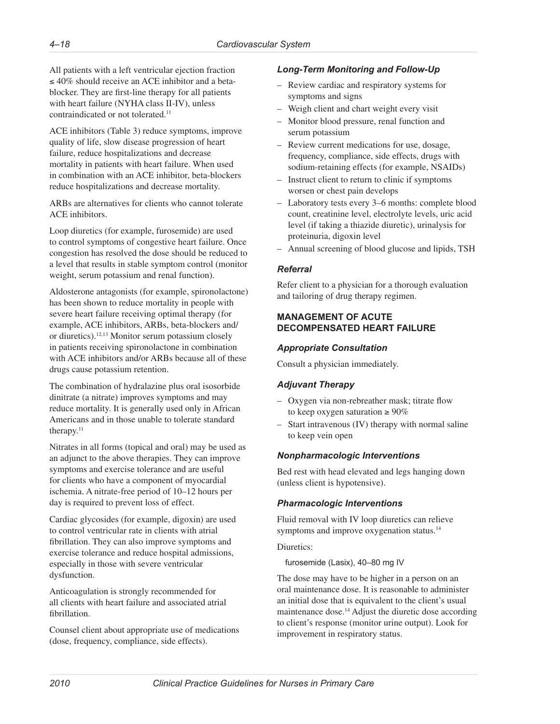All patients with a left ventricular ejection fraction ≤ 40% should receive an ACE inhibitor and a betablocker. They are first-line therapy for all patients with heart failure (NYHA class II-IV), unless contraindicated or not tolerated.11

ACE inhibitors (Table 3) reduce symptoms, improve quality of life, slow disease progression of heart failure, reduce hospitalizations and decrease mortality in patients with heart failure. When used in combination with an ACE inhibitor, beta-blockers reduce hospitalizations and decrease mortality.

ARBs are alternatives for clients who cannot tolerate ACE inhibitors.

Loop diuretics (for example, furosemide) are used to control symptoms of congestive heart failure. Once congestion has resolved the dose should be reduced to a level that results in stable symptom control (monitor weight, serum potassium and renal function).

Aldosterone antagonists (for example, spironolactone) has been shown to reduce mortality in people with severe heart failure receiving optimal therapy (for example, ACE inhibitors, ARBs, beta-blockers and/ or diuretics).12,13 Monitor serum potassium closely in patients receiving spironolactone in combination with ACE inhibitors and/or ARBs because all of these drugs cause potassium retention.

The combination of hydralazine plus oral isosorbide dinitrate (a nitrate) improves symptoms and may reduce mortality. It is generally used only in African Americans and in those unable to tolerate standard therapy.<sup>11</sup>

Nitrates in all forms (topical and oral) may be used as an adjunct to the above therapies. They can improve symptoms and exercise tolerance and are useful for clients who have a component of myocardial ischemia. A nitrate-free period of 10–12 hours per day is required to prevent loss of effect.

Cardiac glycosides (for example, digoxin) are used to control ventricular rate in clients with atrial fibrillation. They can also improve symptoms and exercise tolerance and reduce hospital admissions, especially in those with severe ventricular dysfunction.

Anticoagulation is strongly recommended for all clients with heart failure and associated atrial fibrillation.

Counsel client about appropriate use of medications (dose, frequency, compliance, side effects).

# *Long-Term Monitoring and Follow-Up*

- Review cardiac and respiratory systems for symptoms and signs
- Weigh client and chart weight every visit
- Monitor blood pressure, renal function and serum potassium
- Review current medications for use, dosage, frequency, compliance, side effects, drugs with sodium-retaining effects (for example, NSAIDs)
- Instruct client to return to clinic if symptoms worsen or chest pain develops
- Laboratory tests every 3–6 months: complete blood count, creatinine level, electrolyte levels, uric acid level (if taking a thiazide diuretic), urinalysis for proteinuria, digoxin level
- Annual screening of blood glucose and lipids, TSH

# *Referral*

Refer client to a physician for a thorough evaluation and tailoring of drug therapy regimen.

# **MANAGEMENT OF ACUTE DECOMPENSATED HEART FAILURE**

# *Appropriate Consultation*

Consult a physician immediately.

# *Adjuvant Therapy*

- Oxygen via non-rebreather mask; titrate flow to keep oxygen saturation  $\geq 90\%$
- Start intravenous (IV) therapy with normal saline to keep vein open

# *Nonpharmacologic Interventions*

Bed rest with head elevated and legs hanging down (unless client is hypotensive).

# *Pharmacologic Interventions*

Fluid removal with IV loop diuretics can relieve symptoms and improve oxygenation status.<sup>14</sup>

# Diuretics:

furosemide (Lasix), 40–80 mg IV

The dose may have to be higher in a person on an oral maintenance dose. It is reasonable to administer an initial dose that is equivalent to the client's usual maintenance dose.14 Adjust the diuretic dose according to client's response (monitor urine output). Look for improvement in respiratory status.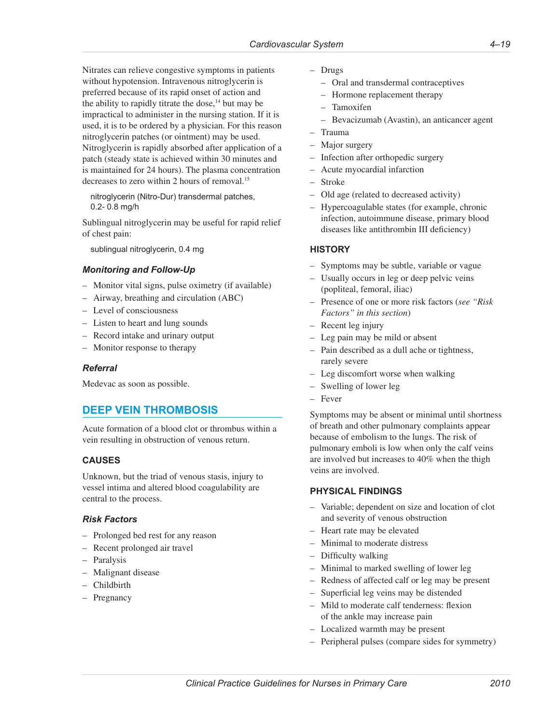<span id="page-20-0"></span>Nitrates can relieve congestive symptoms in patients without hypotension. Intravenous nitroglycerin is preferred because of its rapid onset of action and the ability to rapidly titrate the dose, $14$  but may be impractical to administer in the nursing station. If it is used, it is to be ordered by a physician. For this reason nitroglycerin patches (or ointment) may be used. Nitroglycerin is rapidly absorbed after application of a patch (steady state is achieved within 30 minutes and is maintained for 24 hours). The plasma concentration decreases to zero within 2 hours of removal.15

nitroglycerin (Nitro-Dur) transdermal patches, 0.2- 0.8 mg/h

Sublingual nitroglycerin may be useful for rapid relief of chest pain:

sublingual nitroglycerin, 0.4 mg

### *Monitoring and Follow-Up*

- Monitor vital signs, pulse oximetry (if available)
- Airway, breathing and circulation (ABC)
- Level of consciousness
- Listen to heart and lung sounds
- Record intake and urinary output
- Monitor response to therapy

#### *Referral*

Medevac as soon as possible.

# **DEEP VEIN THROMBOSIS**

Acute formation of a blood clot or thrombus within a vein resulting in obstruction of venous return.

#### **CAUSES**

Unknown, but the triad of venous stasis, injury to vessel intima and altered blood coagulability are central to the process.

#### *Risk Factors*

- Prolonged bed rest for any reason
- Recent prolonged air travel
- Paralysis
- Malignant disease
- Childbirth
- Pregnancy
- Drugs
	- Oral and transdermal contraceptives
	- Hormone replacement therapy
	- Tamoxifen
	- Bevacizumab (Avastin), an anticancer agent
- Trauma
- Major surgery
- Infection after orthopedic surgery
- Acute myocardial infarction
- Stroke
- Old age (related to decreased activity)
- Hypercoagulable states (for example, chronic infection, autoimmune disease, primary blood diseases like antithrombin III deficiency)

#### **HISTORY**

- Symptoms may be subtle, variable or vague
- Usually occurs in leg or deep pelvic veins (popliteal, femoral, iliac)
- Presence of one or more risk factors (*see "Risk Factors" in this section*)
- Recent leg injury
- Leg pain may be mild or absent
- Pain described as a dull ache or tightness, rarely severe
- Leg discomfort worse when walking
- Swelling of lower leg
- Fever

Symptoms may be absent or minimal until shortness of breath and other pulmonary complaints appear because of embolism to the lungs. The risk of pulmonary emboli is low when only the calf veins are involved but increases to 40% when the thigh veins are involved.

#### **PHYSICAL FINDINGS**

- Variable; dependent on size and location of clot and severity of venous obstruction
- Heart rate may be elevated
- Minimal to moderate distress
- Difficulty walking
- Minimal to marked swelling of lower leg
- Redness of affected calf or leg may be present
- Superficial leg veins may be distended
- Mild to moderate calf tenderness: flexion of the ankle may increase pain
- Localized warmth may be present
- Peripheral pulses (compare sides for symmetry)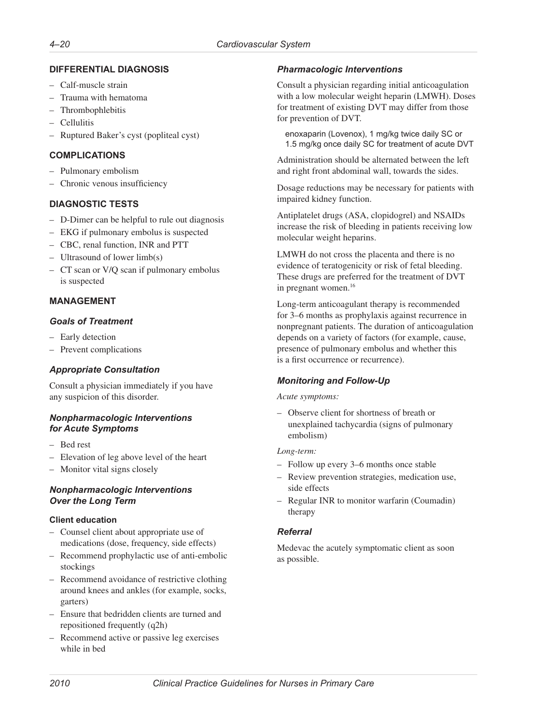# **DIFFERENTIAL DIAGNOSIS**

- Calf-muscle strain
- Trauma with hematoma
- Thrombophlebitis
- Cellulitis
- Ruptured Baker's cyst (popliteal cyst)

### **COMPLICATIONS**

- Pulmonary embolism
- Chronic venous insufficiency

# **DIAGNOSTIC TESTS**

- D-Dimer can be helpful to rule out diagnosis
- EKG if pulmonary embolus is suspected
- CBC, renal function, INR and PTT
- Ultrasound of lower limb(s)
- CT scan or V/Q scan if pulmonary embolus is suspected

# **MANAGEMENT**

### *Goals of Treatment*

- Early detection
- Prevent complications

# *Appropriate Consultation*

Consult a physician immediately if you have any suspicion of this disorder.

# *Nonpharmacologic Interventions for Acute Symptoms*

- Bed rest
- Elevation of leg above level of the heart
- Monitor vital signs closely

### *Nonpharmacologic Interventions Over the Long Term*

#### **Client education**

- Counsel client about appropriate use of medications (dose, frequency, side effects)
- Recommend prophylactic use of anti-embolic stockings
- Recommend avoidance of restrictive clothing around knees and ankles (for example, socks, garters)
- Ensure that bedridden clients are turned and repositioned frequently (q2h)
- Recommend active or passive leg exercises while in bed

# *Pharmacologic Interventions*

Consult a physician regarding initial anticoagulation with a low molecular weight heparin (LMWH). Doses for treatment of existing DVT may differ from those for prevention of DVT.

enoxaparin (Lovenox), 1 mg/kg twice daily SC or 1.5 mg/kg once daily SC for treatment of acute DVT

Administration should be alternated between the left and right front abdominal wall, towards the sides.

Dosage reductions may be necessary for patients with impaired kidney function.

Antiplatelet drugs (ASA, clopidogrel) and NSAIDs increase the risk of bleeding in patients receiving low molecular weight heparins.

LMWH do not cross the placenta and there is no evidence of teratogenicity or risk of fetal bleeding. These drugs are preferred for the treatment of DVT in pregnant women.<sup>16</sup>

Long-term anticoagulant therapy is recommended for 3–6 months as prophylaxis against recurrence in nonpregnant patients. The duration of anticoagulation depends on a variety of factors (for example, cause, presence of pulmonary embolus and whether this is a first occurrence or recurrence).

# *Monitoring and Follow-Up*

#### *Acute symptoms:*

– Observe client for shortness of breath or unexplained tachycardia (signs of pulmonary embolism)

#### *Long-term:*

- Follow up every 3–6 months once stable
- Review prevention strategies, medication use, side effects
- Regular INR to monitor warfarin (Coumadin) therapy

# *Referral*

Medevac the acutely symptomatic client as soon as possible.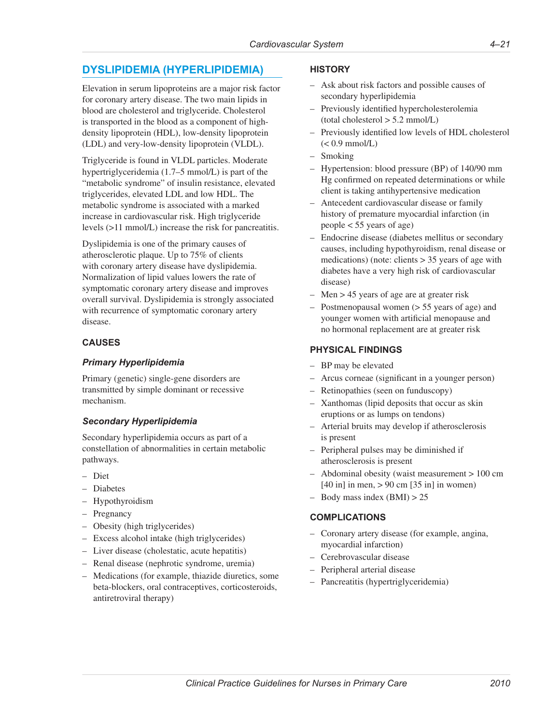# <span id="page-22-0"></span>**DYSLIPIDEMIA (HYPERLIPIDEMIA)**

Elevation in serum lipoproteins are a major risk factor for coronary artery disease. The two main lipids in blood are cholesterol and triglyceride. Cholesterol is transported in the blood as a component of highdensity lipoprotein (HDL), low-density lipoprotein (LDL) and very-low-density lipoprotein (VLDL).

Triglyceride is found in VLDL particles. Moderate hypertriglyceridemia (1.7–5 mmol/L) is part of the "metabolic syndrome" of insulin resistance, elevated triglycerides, elevated LDL and low HDL. The metabolic syndrome is associated with a marked increase in cardiovascular risk. High triglyceride levels (>11 mmol/L) increase the risk for pancreatitis.

Dyslipidemia is one of the primary causes of atherosclerotic plaque. Up to 75% of clients with coronary artery disease have dyslipidemia. Normalization of lipid values lowers the rate of symptomatic coronary artery disease and improves overall survival. Dyslipidemia is strongly associated with recurrence of symptomatic coronary artery disease.

# **CAUSES**

### *Primary Hyperlipidemia*

Primary (genetic) single-gene disorders are transmitted by simple dominant or recessive mechanism.

# *Secondary Hyperlipidemia*

Secondary hyperlipidemia occurs as part of a constellation of abnormalities in certain metabolic pathways.

- Diet
- Diabetes
- Hypothyroidism
- Pregnancy
- Obesity (high triglycerides)
- Excess alcohol intake (high triglycerides)
- Liver disease (cholestatic, acute hepatitis)
- Renal disease (nephrotic syndrome, uremia)
- Medications (for example, thiazide diuretics, some beta-blockers, oral contraceptives, corticosteroids, antiretroviral therapy)

#### **HISTORY**

- Ask about risk factors and possible causes of secondary hyperlipidemia
- Previously identified hypercholesterolemia (total cholesterol > 5.2 mmol/L)
- Previously identified low levels of HDL cholesterol  $(< 0.9$  mmol/L)
- Smoking
- Hypertension: blood pressure (BP) of 140/90 mm Hg confirmed on repeated determinations or while client is taking antihypertensive medication
- Antecedent cardiovascular disease or family history of premature myocardial infarction (in people < 55 years of age)
- Endocrine disease (diabetes mellitus or secondary causes, including hypothyroidism, renal disease or medications) (note: clients  $> 35$  years of age with diabetes have a very high risk of cardiovascular disease)
- Men > 45 years of age are at greater risk
- Postmenopausal women (> 55 years of age) and younger women with artificial menopause and no hormonal replacement are at greater risk

#### **PHYSICAL FINDINGS**

- BP may be elevated
- Arcus corneae (significant in a younger person)
- Retinopathies (seen on funduscopy)
- Xanthomas (lipid deposits that occur as skin eruptions or as lumps on tendons)
- Arterial bruits may develop if atherosclerosis is present
- Peripheral pulses may be diminished if atherosclerosis is present
- Abdominal obesity (waist measurement > 100 cm  $[40 \text{ in}]$  in men,  $> 90 \text{ cm}$   $[35 \text{ in}]$  in women)
- $-$  Body mass index (BMI)  $> 25$

#### **COMPLICATIONS**

- Coronary artery disease (for example, angina, myocardial infarction)
- Cerebrovascular disease
- Peripheral arterial disease
- Pancreatitis (hypertriglyceridemia)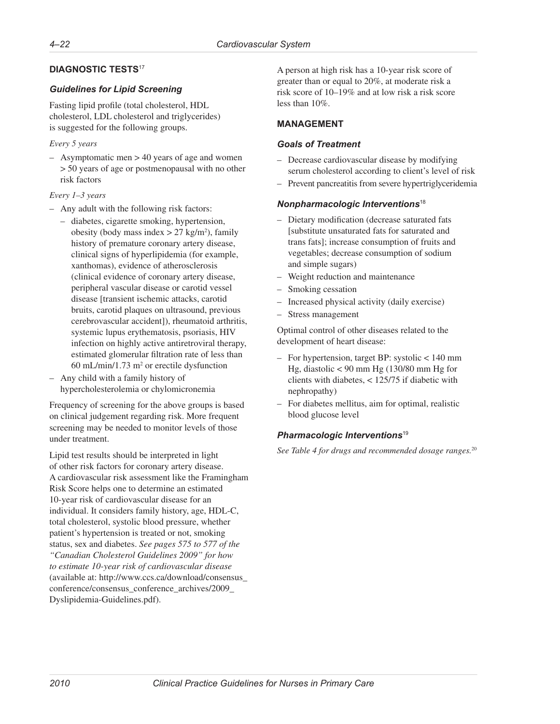### **DIAGNOSTIC TESTS**<sup>17</sup>

#### *Guidelines for Lipid Screening*

Fasting lipid profile (total cholesterol, HDL cholesterol, LDL cholesterol and triglycerides) is suggested for the following groups.

#### *Every 5 years*

– Asymptomatic men > 40 years of age and women > 50 years of age or postmenopausal with no other risk factors

#### *Every 1–3 years*

- Any adult with the following risk factors:
	- diabetes, cigarette smoking, hypertension, obesity (body mass index  $> 27$  kg/m<sup>2</sup>), family history of premature coronary artery disease, clinical signs of hyperlipidemia (for example, xanthomas), evidence of atherosclerosis (clinical evidence of coronary artery disease, peripheral vascular disease or carotid vessel disease [transient ischemic attacks, carotid bruits, carotid plaques on ultrasound, previous cerebrovascular accident]), rheumatoid arthritis, systemic lupus erythematosis, psoriasis, HIV infection on highly active antiretroviral therapy, estimated glomerular filtration rate of less than  $60$  mL/min/1.73 m<sup>2</sup> or erectile dysfunction
- Any child with a family history of hypercholesterolemia or chylomicronemia

Frequency of screening for the above groups is based on clinical judgement regarding risk. More frequent screening may be needed to monitor levels of those under treatment.

Lipid test results should be interpreted in light of other risk factors for coronary artery disease. A cardiovascular risk assessment like the Framingham Risk Score helps one to determine an estimated 10-year risk of cardiovascular disease for an individual. It considers family history, age, HDL-C, total cholesterol, systolic blood pressure, whether patient's hypertension is treated or not, smoking status, sex and diabetes. *See pages 575 to 577 of the "Canadian Cholesterol Guidelines 2009" for how to estimate 10-year risk of cardiovascular disease* (available at: [http://www.ccs.ca/download/consensus\\_](http://www.ccs.ca/download/consensus_conference/consensus_conference_archives/2009_Dyslipidemia-Guidelines.pdf) [conference/consensus\\_conference\\_archives/2009\\_](http://www.ccs.ca/download/consensus_conference/consensus_conference_archives/2009_Dyslipidemia-Guidelines.pdf) [Dyslipidemia-Guidelines.pdf](http://www.ccs.ca/download/consensus_conference/consensus_conference_archives/2009_Dyslipidemia-Guidelines.pdf)).

A person at high risk has a 10-year risk score of greater than or equal to 20%, at moderate risk a risk score of 10–19% and at low risk a risk score less than 10%.

#### **MANAGEMENT**

#### *Goals of Treatment*

- Decrease cardiovascular disease by modifying serum cholesterol according to client's level of risk
- Prevent pancreatitis from severe hypertriglyceridemia

#### *Nonpharmacologic Interventions*<sup>18</sup>

- Dietary modification (decrease saturated fats [substitute unsaturated fats for saturated and trans fats]; increase consumption of fruits and vegetables; decrease consumption of sodium and simple sugars)
- Weight reduction and maintenance
- Smoking cessation
- Increased physical activity (daily exercise)
- Stress management

Optimal control of other diseases related to the development of heart disease:

- For hypertension, target BP: systolic < 140 mm Hg, diastolic < 90 mm Hg (130/80 mm Hg for clients with diabetes, < 125/75 if diabetic with nephropathy)
- For diabetes mellitus, aim for optimal, realistic blood glucose level

# *Pharmacologic Interventions*<sup>19</sup>

*See Table 4 for drugs and recommended dosage ranges.*20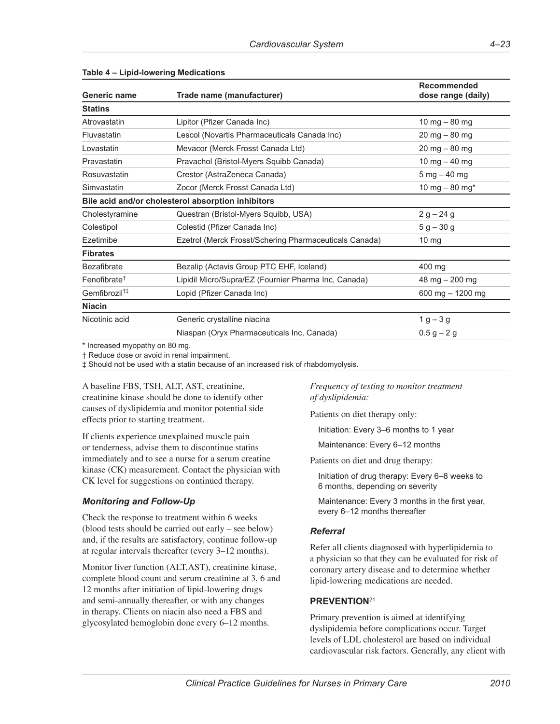| Generic name              | Trade name (manufacturer)                              | Recommended<br>dose range (daily)    |
|---------------------------|--------------------------------------------------------|--------------------------------------|
| <b>Statins</b>            |                                                        |                                      |
| Atrovastatin              | Lipitor (Pfizer Canada Inc)                            | 10 mg $-80$ mg                       |
| Fluvastatin               | Lescol (Novartis Pharmaceuticals Canada Inc)           | $20 \text{ mg} - 80 \text{ mg}$      |
| Lovastatin                | Mevacor (Merck Frosst Canada Ltd)                      | $20 \text{ mg} - 80 \text{ mg}$      |
| Pravastatin               | Pravachol (Bristol-Myers Squibb Canada)                | 10 mg $-$ 40 mg                      |
| Rosuvastatin              | Crestor (AstraZeneca Canada)                           | $5 \,\mathrm{mg} - 40 \,\mathrm{mg}$ |
| Simvastatin               | Zocor (Merck Frosst Canada Ltd)                        | 10 mg $-80$ mg <sup>*</sup>          |
|                           | Bile acid and/or cholesterol absorption inhibitors     |                                      |
| Cholestyramine            | Questran (Bristol-Myers Squibb, USA)                   | $2 g - 24 g$                         |
| Colestipol                | Colestid (Pfizer Canada Inc)                           | $5 g - 30 g$                         |
| Ezetimibe                 | Ezetrol (Merck Frosst/Schering Pharmaceuticals Canada) | 10 mg                                |
| <b>Fibrates</b>           |                                                        |                                      |
| Bezafibrate               | Bezalip (Actavis Group PTC EHF, Iceland)               | 400 mg                               |
| Fenofibrate <sup>+</sup>  | Lipidil Micro/Supra/EZ (Fournier Pharma Inc, Canada)   | 48 mg $-200$ mg                      |
| Gemfibrozil <sup>†‡</sup> | Lopid (Pfizer Canada Inc)                              | 600 mg - 1200 mg                     |
| <b>Niacin</b>             |                                                        |                                      |
| Nicotinic acid            | Generic crystalline niacina                            | $1 g - 3 g$                          |
|                           | Niaspan (Oryx Pharmaceuticals Inc, Canada)             | $0.5 g - 2 g$                        |
|                           |                                                        |                                      |

#### **Table 4 – Lipid-lowering Medications**

\* Increased myopathy on 80 mg.

† Reduce dose or avoid in renal impairment.

‡ Should not be used with a statin because of an increased risk of rhabdomyolysis.

A baseline FBS, TSH, ALT, AST, creatinine, creatinine kinase should be done to identify other causes of dyslipidemia and monitor potential side effects prior to starting treatment.

If clients experience unexplained muscle pain or tenderness, advise them to discontinue statins immediately and to see a nurse for a serum creatine kinase (CK) measurement. Contact the physician with CK level for suggestions on continued therapy.

# *Monitoring and Follow-Up*

Check the response to treatment within 6 weeks (blood tests should be carried out early – see below) and, if the results are satisfactory, continue follow-up at regular intervals thereafter (every 3–12 months).

Monitor liver function (ALT,AST), creatinine kinase, complete blood count and serum creatinine at 3, 6 and 12 months after initiation of lipid-lowering drugs and semi-annually thereafter, or with any changes in therapy. Clients on niacin also need a FBS and glycosylated hemoglobin done every 6–12 months.

*Frequency of testing to monitor treatment of dyslipidemia:*

Patients on diet therapy only:

Initiation: Every 3–6 months to 1 year

Maintenance: Every 6–12 months

Patients on diet and drug therapy:

Initiation of drug therapy: Every 6–8 weeks to 6 months, depending on severity

Maintenance: Every 3 months in the first year, every 6–12 months thereafter

#### *Referral*

Refer all clients diagnosed with hyperlipidemia to a physician so that they can be evaluated for risk of coronary artery disease and to determine whether lipid-lowering medications are needed.

# **PREVENTION**<sup>21</sup>

Primary prevention is aimed at identifying dyslipidemia before complications occur. Target levels of LDL cholesterol are based on individual cardiovascular risk factors. Generally, any client with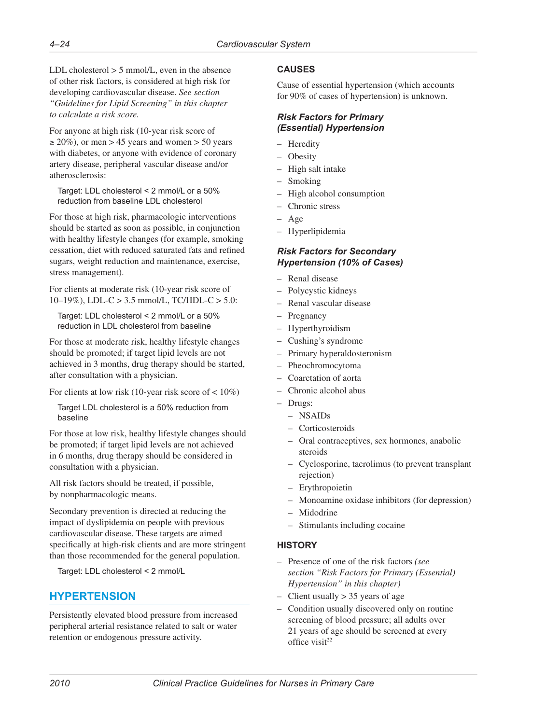<span id="page-25-0"></span>LDL cholesterol  $> 5$  mmol/L, even in the absence of other risk factors, is considered at high risk for developing cardiovascular disease. *See section "Guidelines for Lipid Screening" in this chapter to calculate a risk score.*

For anyone at high risk (10-year risk score of  $\geq$  20%), or men > 45 years and women > 50 years with diabetes, or anyone with evidence of coronary artery disease, peripheral vascular disease and/or atherosclerosis:

Target: LDL cholesterol < 2 mmol/L or a 50% reduction from baseline LDL cholesterol

For those at high risk, pharmacologic interventions should be started as soon as possible, in conjunction with healthy lifestyle changes (for example, smoking cessation, diet with reduced saturated fats and refined sugars, weight reduction and maintenance, exercise, stress management).

For clients at moderate risk (10-year risk score of 10–19%), LDL-C > 3.5 mmol/L, TC/HDL-C > 5.0:

Target: LDL cholesterol < 2 mmol/L or a 50% reduction in LDL cholesterol from baseline

For those at moderate risk, healthy lifestyle changes should be promoted; if target lipid levels are not achieved in 3 months, drug therapy should be started, after consultation with a physician.

For clients at low risk (10-year risk score of < 10%)

Target LDL cholesterol is a 50% reduction from baseline

For those at low risk, healthy lifestyle changes should be promoted; if target lipid levels are not achieved in 6 months, drug therapy should be considered in consultation with a physician.

All risk factors should be treated, if possible, by nonpharmacologic means.

Secondary prevention is directed at reducing the impact of dyslipidemia on people with previous cardiovascular disease. These targets are aimed specifically at high-risk clients and are more stringent than those recommended for the general population.

Target: LDL cholesterol < 2 mmol/L

# **HYPERTENSION**

Persistently elevated blood pressure from increased peripheral arterial resistance related to salt or water retention or endogenous pressure activity.

# **CAUSES**

Cause of essential hypertension (which accounts for 90% of cases of hypertension) is unknown.

#### *Risk Factors for Primary (Essential) Hypertension*

- Heredity
- Obesity
- High salt intake
- Smoking
- High alcohol consumption
- Chronic stress
- Age
- Hyperlipidemia

### *Risk Factors for Secondary Hypertension (10% of Cases)*

- Renal disease
- Polycystic kidneys
- Renal vascular disease
- **Pregnancy**
- Hyperthyroidism
- Cushing's syndrome
- Primary hyperaldosteronism
- Pheochromocytoma
- Coarctation of aorta
- Chronic alcohol abus
- Drugs:
	- NSAIDs
	- Corticosteroids
	- Oral contraceptives, sex hormones, anabolic steroids
	- Cyclosporine, tacrolimus (to prevent transplant rejection)
	- Erythropoietin
	- Monoamine oxidase inhibitors (for depression)
	- Midodrine
	- Stimulants including cocaine

# **HISTORY**

- Presence of one of the risk factors *(see section "Risk Factors for Primary (Essential) Hypertension" in this chapter)*
- Client usually > 35 years of age
- Condition usually discovered only on routine screening of blood pressure; all adults over 21 years of age should be screened at every office visit<sup>22</sup>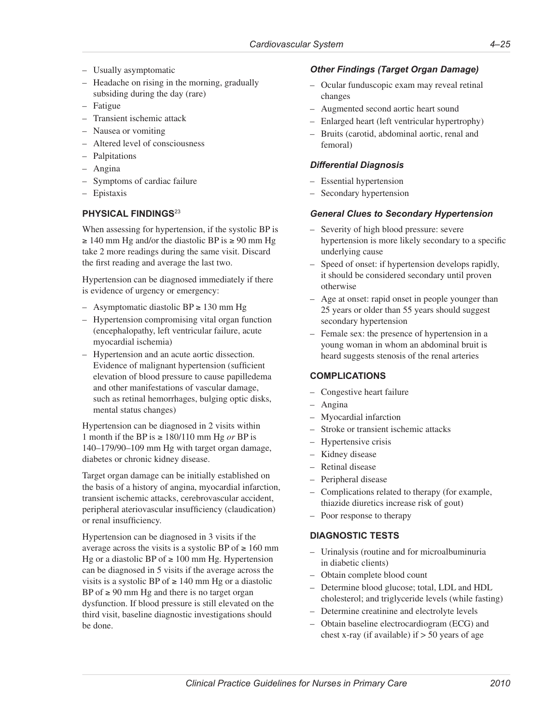- Usually asymptomatic
- Headache on rising in the morning, gradually subsiding during the day (rare)
- Fatigue
- Transient ischemic attack
- Nausea or vomiting
- Altered level of consciousness
- Palpitations
- Angina
- Symptoms of cardiac failure
- Epistaxis

### **PHYSICAL FINDINGS**<sup>23</sup>

When assessing for hypertension, if the systolic BP is  $\geq$  140 mm Hg and/or the diastolic BP is  $\geq$  90 mm Hg take 2 more readings during the same visit. Discard the first reading and average the last two.

Hypertension can be diagnosed immediately if there is evidence of urgency or emergency:

- Asymptomatic diastolic BP ≥ 130 mm Hg
- Hypertension compromising vital organ function (encephalopathy, left ventricular failure, acute myocardial ischemia)
- Hypertension and an acute aortic dissection. Evidence of malignant hypertension (sufficient elevation of blood pressure to cause papilledema and other manifestations of vascular damage, such as retinal hemorrhages, bulging optic disks, mental status changes)

Hypertension can be diagnosed in 2 visits within 1 month if the BP is ≥ 180/110 mm Hg *or* BP is 140–179/90–109 mm Hg with target organ damage, diabetes or chronic kidney disease.

Target organ damage can be initially established on the basis of a history of angina, myocardial infarction, transient ischemic attacks, cerebrovascular accident, peripheral ateriovascular insufficiency (claudication) or renal insufficiency.

Hypertension can be diagnosed in 3 visits if the average across the visits is a systolic BP of  $\geq 160$  mm Hg or a diastolic BP of  $\geq 100$  mm Hg. Hypertension can be diagnosed in 5 visits if the average across the visits is a systolic BP of  $\geq 140$  mm Hg or a diastolic BP of  $\geq$  90 mm Hg and there is no target organ dysfunction. If blood pressure is still elevated on the third visit, baseline diagnostic investigations should be done.

### *Other Findings (Target Organ Damage)*

- Ocular funduscopic exam may reveal retinal changes
- Augmented second aortic heart sound
- Enlarged heart (left ventricular hypertrophy)
- Bruits (carotid, abdominal aortic, renal and femoral)

### *Differential Diagnosis*

- Essential hypertension
- Secondary hypertension

### *General Clues to Secondary Hypertension*

- Severity of high blood pressure: severe hypertension is more likely secondary to a specific underlying cause
- Speed of onset: if hypertension develops rapidly, it should be considered secondary until proven otherwise
- Age at onset: rapid onset in people younger than 25 years or older than 55 years should suggest secondary hypertension
- Female sex: the presence of hypertension in a young woman in whom an abdominal bruit is heard suggests stenosis of the renal arteries

# **COMPLICATIONS**

- Congestive heart failure
- Angina
- Myocardial infarction
- Stroke or transient ischemic attacks
- Hypertensive crisis
- Kidney disease
- Retinal disease
- Peripheral disease
- Complications related to therapy (for example, thiazide diuretics increase risk of gout)
- Poor response to therapy

# **DIAGNOSTIC TESTS**

- Urinalysis (routine and for microalbuminuria in diabetic clients)
- Obtain complete blood count
- Determine blood glucose; total, LDL and HDL cholesterol; and triglyceride levels (while fasting)
- Determine creatinine and electrolyte levels
- Obtain baseline electrocardiogram (ECG) and chest x-ray (if available) if  $> 50$  years of age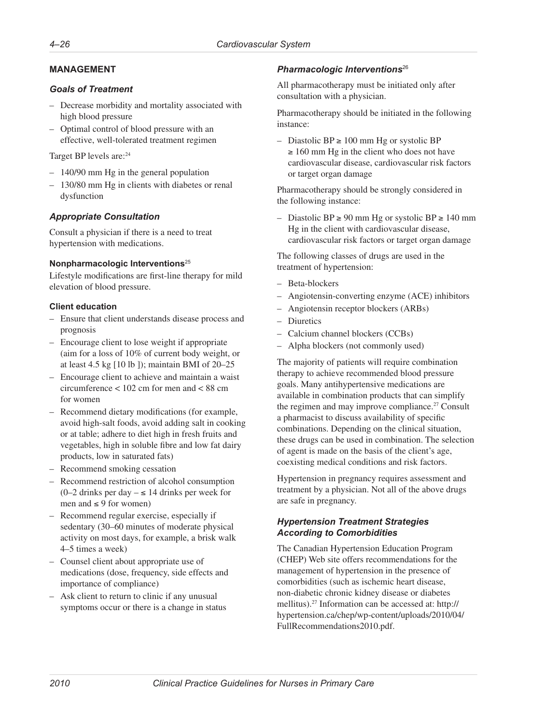# **MANAGEMENT**

### *Goals of Treatment*

- Decrease morbidity and mortality associated with high blood pressure
- Optimal control of blood pressure with an effective, well-tolerated treatment regimen

Target BP levels are: <sup>24</sup>

- 140/90 mm Hg in the general population
- 130/80 mm Hg in clients with diabetes or renal dysfunction

# *Appropriate Consultation*

Consult a physician if there is a need to treat hypertension with medications.

### **Nonpharmacologic Interventions**<sup>25</sup>

Lifestyle modifications are first-line therapy for mild elevation of blood pressure.

### **Client education**

- Ensure that client understands disease process and prognosis
- Encourage client to lose weight if appropriate (aim for a loss of 10% of current body weight, or at least 4.5 kg [10 lb ]); maintain BMI of 20–25
- Encourage client to achieve and maintain a waist circumference < 102 cm for men and < 88 cm for women
- Recommend dietary modifications (for example, avoid high-salt foods, avoid adding salt in cooking or at table; adhere to diet high in fresh fruits and vegetables, high in soluble fibre and low fat dairy products, low in saturated fats)
- Recommend smoking cessation
- Recommend restriction of alcohol consumption (0–2 drinks per day – ≤ 14 drinks per week for men and  $\leq 9$  for women)
- Recommend regular exercise, especially if sedentary (30–60 minutes of moderate physical activity on most days, for example, a brisk walk 4–5 times a week)
- Counsel client about appropriate use of medications (dose, frequency, side effects and importance of compliance)
- Ask client to return to clinic if any unusual symptoms occur or there is a change in status

# *Pharmacologic Interventions*<sup>26</sup>

All pharmacotherapy must be initiated only after consultation with a physician.

Pharmacotherapy should be initiated in the following instance:

– Diastolic BP ≥ 100 mm Hg or systolic BP  $\geq 160$  mm Hg in the client who does not have cardiovascular disease, cardiovascular risk factors or target organ damage

Pharmacotherapy should be strongly considered in the following instance:

– Diastolic BP ≥ 90 mm Hg or systolic BP ≥ 140 mm Hg in the client with cardiovascular disease, cardiovascular risk factors or target organ damage

The following classes of drugs are used in the treatment of hypertension:

- Beta-blockers
- Angiotensin-converting enzyme (ACE) inhibitors
- Angiotensin receptor blockers (ARBs)
- Diuretics
- Calcium channel blockers (CCBs)
- Alpha blockers (not commonly used)

The majority of patients will require combination therapy to achieve recommended blood pressure goals. Many antihypertensive medications are available in combination products that can simplify the regimen and may improve compliance.<sup>27</sup> Consult a pharmacist to discuss availability of specific combinations. Depending on the clinical situation, these drugs can be used in combination. The selection of agent is made on the basis of the client's age, coexisting medical conditions and risk factors.

Hypertension in pregnancy requires assessment and treatment by a physician. Not all of the above drugs are safe in pregnancy.

# *Hypertension Treatment Strategies According to Comorbidities*

The Canadian Hypertension Education Program (CHEP) Web site offers recommendations for the management of hypertension in the presence of comorbidities (such as ischemic heart disease, non-diabetic chronic kidney disease or diabetes mellitus).27 Information can be accessed at: [http://](http://hypertension.ca/chep/wp-content/uploads/2010/04/FullRecommendations2010.pdf) [hypertension.ca/chep/wp-content/uploads/2010/04/](http://hypertension.ca/chep/wp-content/uploads/2010/04/FullRecommendations2010.pdf) [FullRecommendations2010.pdf](http://hypertension.ca/chep/wp-content/uploads/2010/04/FullRecommendations2010.pdf).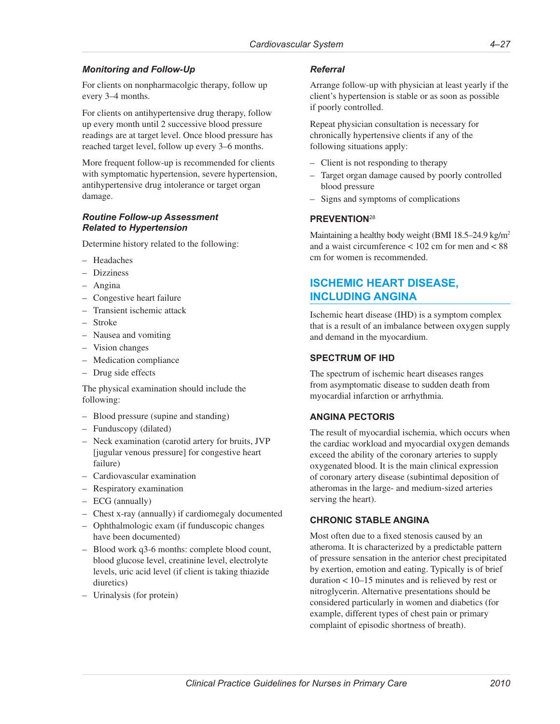# <span id="page-28-0"></span>*Monitoring and Follow-Up*

For clients on nonpharmacolgic therapy, follow up every 3–4 months.

For clients on antihypertensive drug therapy, follow up every month until 2 successive blood pressure readings are at target level. Once blood pressure has reached target level, follow up every 3–6 months.

More frequent follow-up is recommended for clients with symptomatic hypertension, severe hypertension, antihypertensive drug intolerance or target organ damage.

### *Routine Follow-up Assessment Related to Hypertension*

Determine history related to the following:

- Headaches
- Dizziness
- Angina
- Congestive heart failure
- Transient ischemic attack
- Stroke
- Nausea and vomiting
- Vision changes
- Medication compliance
- Drug side effects

The physical examination should include the following:

- Blood pressure (supine and standing)
- Funduscopy (dilated)
- Neck examination (carotid artery for bruits, JVP [jugular venous pressure] for congestive heart failure)
- Cardiovascular examination
- Respiratory examination
- ECG (annually)
- Chest x-ray (annually) if cardiomegaly documented
- Ophthalmologic exam (if funduscopic changes have been documented)
- Blood work q3-6 months: complete blood count, blood glucose level, creatinine level, electrolyte levels, uric acid level (if client is taking thiazide diuretics)
- Urinalysis (for protein)

#### *Referral*

Arrange follow-up with physician at least yearly if the client's hypertension is stable or as soon as possible if poorly controlled.

Repeat physician consultation is necessary for chronically hypertensive clients if any of the following situations apply:

- Client is not responding to therapy
- Target organ damage caused by poorly controlled blood pressure
- Signs and symptoms of complications

### **PREVENTION**<sup>28</sup>

Maintaining a healthy body weight (BMI 18.5–24.9 kg/m<sup>2</sup>) and a waist circumference < 102 cm for men and < 88 cm for women is recommended.

# **ISCHEMIC HEART DISEASE, INCLUDING ANGINA**

Ischemic heart disease (IHD) is a symptom complex that is a result of an imbalance between oxygen supply and demand in the myocardium.

#### **SPECTRUM OF IHD**

The spectrum of ischemic heart diseases ranges from asymptomatic disease to sudden death from myocardial infarction or arrhythmia.

# **ANGINA PECTORIS**

The result of myocardial ischemia, which occurs when the cardiac workload and myocardial oxygen demands exceed the ability of the coronary arteries to supply oxygenated blood. It is the main clinical expression of coronary artery disease (subintimal deposition of atheromas in the large- and medium-sized arteries serving the heart).

#### **CHRONIC STABLE ANGINA**

Most often due to a fixed stenosis caused by an atheroma. It is characterized by a predictable pattern of pressure sensation in the anterior chest precipitated by exertion, emotion and eating. Typically is of brief duration < 10–15 minutes and is relieved by rest or nitroglycerin. Alternative presentations should be considered particularly in women and diabetics (for example, different types of chest pain or primary complaint of episodic shortness of breath).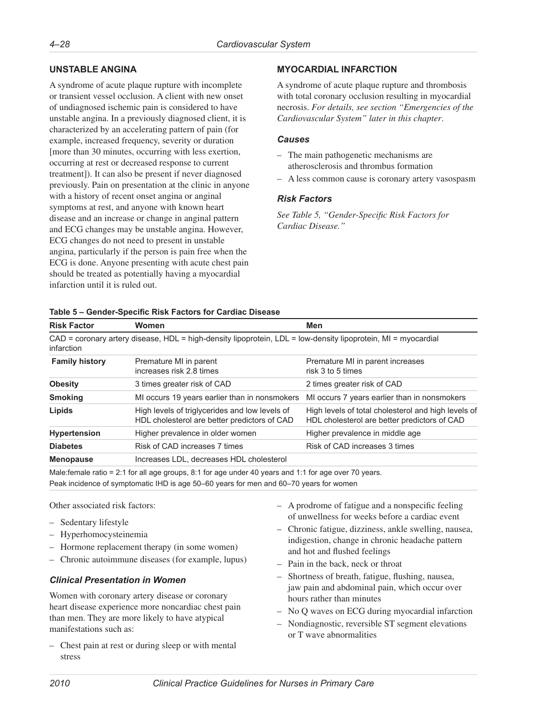### **UNSTABLE ANGINA**

A syndrome of acute plaque rupture with incomplete or transient vessel occlusion. A client with new onset of undiagnosed ischemic pain is considered to have unstable angina. In a previously diagnosed client, it is characterized by an accelerating pattern of pain (for example, increased frequency, severity or duration [more than 30 minutes, occurring with less exertion, occurring at rest or decreased response to current treatment]). It can also be present if never diagnosed previously. Pain on presentation at the clinic in anyone with a history of recent onset angina or anginal symptoms at rest, and anyone with known heart disease and an increase or change in anginal pattern and ECG changes may be unstable angina. However, ECG changes do not need to present in unstable angina, particularly if the person is pain free when the ECG is done. Anyone presenting with acute chest pain should be treated as potentially having a myocardial infarction until it is ruled out.

# **MYOCARDIAL INFARCTION**

A syndrome of acute plaque rupture and thrombosis with total coronary occlusion resulting in myocardial necrosis. *For details, see section "Emergencies of the Cardiovascular System" later in this chapter*.

#### *Causes*

- The main pathogenetic mechanisms are atherosclerosis and thrombus formation
- A less common cause is coronary artery vasospasm

### *Risk Factors*

*See Table 5, "Gender-Specific Risk Factors for Cardiac Disease."*

#### **Table 5 – Gender-Specific Risk Factors for Cardiac Disease**

| <b>Risk Factor</b>    | <b>Women</b>                                                                                                  | Men                                                                                                 |
|-----------------------|---------------------------------------------------------------------------------------------------------------|-----------------------------------------------------------------------------------------------------|
| infarction            | CAD = coronary artery disease, HDL = high-density lipoprotein, LDL = low-density lipoprotein, MI = myocardial |                                                                                                     |
| <b>Family history</b> | Premature MI in parent<br>increases risk 2.8 times                                                            | Premature MI in parent increases<br>risk 3 to 5 times                                               |
| <b>Obesity</b>        | 3 times greater risk of CAD                                                                                   | 2 times greater risk of CAD                                                                         |
| <b>Smoking</b>        | MI occurs 19 years earlier than in nonsmokers                                                                 | MI occurs 7 years earlier than in nonsmokers                                                        |
| Lipids                | High levels of triglycerides and low levels of<br>HDL cholesterol are better predictors of CAD                | High levels of total cholesterol and high levels of<br>HDL cholesterol are better predictors of CAD |
| <b>Hypertension</b>   | Higher prevalence in older women                                                                              | Higher prevalence in middle age                                                                     |
| <b>Diabetes</b>       | Risk of CAD increases 7 times                                                                                 | Risk of CAD increases 3 times                                                                       |
| <b>Menopause</b>      | Increases LDL, decreases HDL cholesterol                                                                      |                                                                                                     |
|                       |                                                                                                               |                                                                                                     |

Male:female ratio = 2:1 for all age groups, 8:1 for age under 40 years and 1:1 for age over 70 years. Peak incidence of symptomatic IHD is age 50–60 years for men and 60–70 years for women

Other associated risk factors:

- Sedentary lifestyle
- Hyperhomocysteinemia
- Hormone replacement therapy (in some women)
- Chronic autoimmune diseases (for example, lupus)

#### *Clinical Presentation in Women*

Women with coronary artery disease or coronary heart disease experience more noncardiac chest pain than men. They are more likely to have atypical manifestations such as:

– Chest pain at rest or during sleep or with mental stress

- A prodrome of fatigue and a nonspecific feeling of unwellness for weeks before a cardiac event
- Chronic fatigue, dizziness, ankle swelling, nausea, indigestion, change in chronic headache pattern and hot and flushed feelings
- Pain in the back, neck or throat
- Shortness of breath, fatigue, flushing, nausea, jaw pain and abdominal pain, which occur over hours rather than minutes
- No Q waves on ECG during myocardial infarction
- Nondiagnostic, reversible ST segment elevations or T wave abnormalities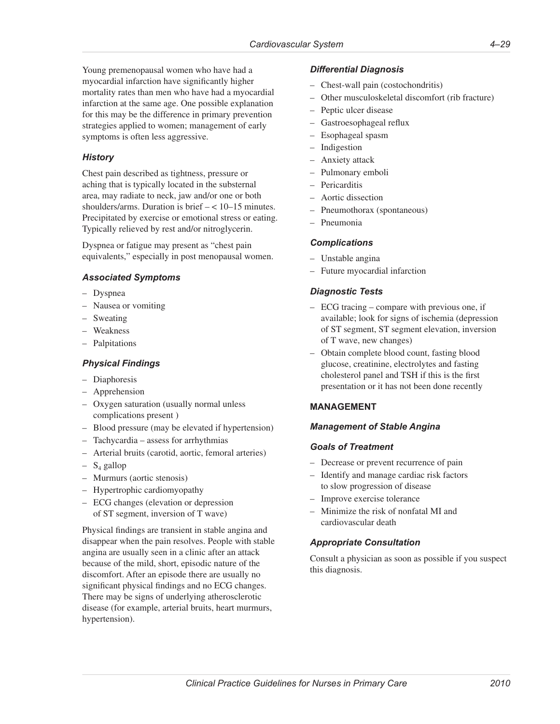Young premenopausal women who have had a myocardial infarction have significantly higher mortality rates than men who have had a myocardial infarction at the same age. One possible explanation for this may be the difference in primary prevention strategies applied to women; management of early symptoms is often less aggressive.

# *History*

Chest pain described as tightness, pressure or aching that is typically located in the substernal area, may radiate to neck, jaw and/or one or both shoulders/arms. Duration is brief – < 10–15 minutes. Precipitated by exercise or emotional stress or eating. Typically relieved by rest and/or nitroglycerin.

Dyspnea or fatigue may present as "chest pain equivalents," especially in post menopausal women.

# *Associated Symptoms*

- Dyspnea
- Nausea or vomiting
- Sweating
- Weakness
- Palpitations

# *Physical Findings*

- Diaphoresis
- Apprehension
- Oxygen saturation (usually normal unless complications present )
- Blood pressure (may be elevated if hypertension)
- Tachycardia assess for arrhythmias
- Arterial bruits (carotid, aortic, femoral arteries)
- $S_4$  gallop
- Murmurs (aortic stenosis)
- Hypertrophic cardiomyopathy
- ECG changes (elevation or depression of ST segment, inversion of T wave)

Physical findings are transient in stable angina and disappear when the pain resolves. People with stable angina are usually seen in a clinic after an attack because of the mild, short, episodic nature of the discomfort. After an episode there are usually no significant physical findings and no ECG changes. There may be signs of underlying atherosclerotic disease (for example, arterial bruits, heart murmurs, hypertension).

# *Differential Diagnosis*

- Chest-wall pain (costochondritis)
- Other musculoskeletal discomfort (rib fracture)
- Peptic ulcer disease
- Gastroesophageal reflux
- Esophageal spasm
- Indigestion
- Anxiety attack
- Pulmonary emboli
- Pericarditis
- Aortic dissection
- Pneumothorax (spontaneous)
- Pneumonia

### *Complications*

- Unstable angina
- Future myocardial infarction

# *Diagnostic Tests*

- ECG tracing compare with previous one, if available; look for signs of ischemia (depression of ST segment, ST segment elevation, inversion of T wave, new changes)
- Obtain complete blood count, fasting blood glucose, creatinine, electrolytes and fasting cholesterol panel and TSH if this is the first presentation or it has not been done recently

# **MANAGEMENT**

#### *Management of Stable Angina*

#### *Goals of Treatment*

- Decrease or prevent recurrence of pain
- Identify and manage cardiac risk factors to slow progression of disease
- Improve exercise tolerance
- Minimize the risk of nonfatal MI and cardiovascular death

# *Appropriate Consultation*

Consult a physician as soon as possible if you suspect this diagnosis.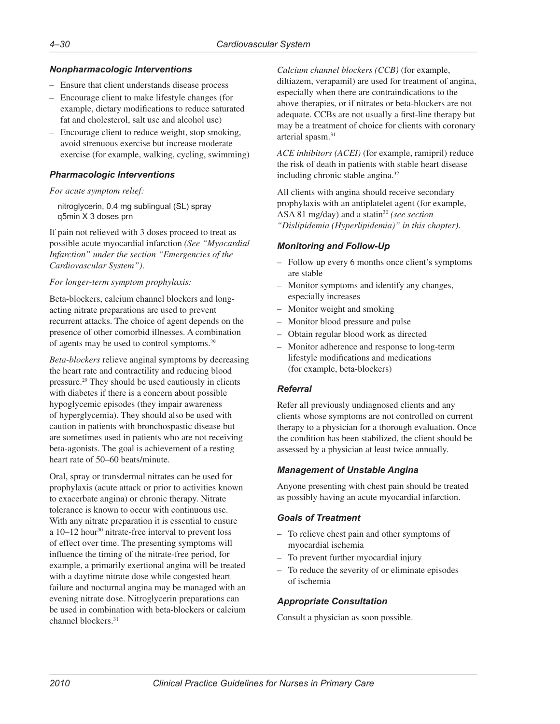# *Nonpharmacologic Interventions*

- Ensure that client understands disease process
- Encourage client to make lifestyle changes (for example, dietary modifications to reduce saturated fat and cholesterol, salt use and alcohol use)
- Encourage client to reduce weight, stop smoking, avoid strenuous exercise but increase moderate exercise (for example, walking, cycling, swimming)

### *Pharmacologic Interventions*

#### *For acute symptom relief:*

nitroglycerin, 0.4 mg sublingual (SL) spray q5min X 3 doses prn

If pain not relieved with 3 doses proceed to treat as possible acute myocardial infarction *(See "Myocardial Infarction" under the section "Emergencies of the Cardiovascular System")*.

#### *For longer-term symptom prophylaxis:*

Beta-blockers, calcium channel blockers and longacting nitrate preparations are used to prevent recurrent attacks. The choice of agent depends on the presence of other comorbid illnesses. A combination of agents may be used to control symptoms.29

*Beta-blockers* relieve anginal symptoms by decreasing the heart rate and contractility and reducing blood pressure.29 They should be used cautiously in clients with diabetes if there is a concern about possible hypoglycemic episodes (they impair awareness of hyperglycemia). They should also be used with caution in patients with bronchospastic disease but are sometimes used in patients who are not receiving beta-agonists. The goal is achievement of a resting heart rate of 50–60 beats/minute.

Oral, spray or transdermal nitrates can be used for prophylaxis (acute attack or prior to activities known to exacerbate angina) or chronic therapy. Nitrate tolerance is known to occur with continuous use. With any nitrate preparation it is essential to ensure a 10–12 hour30 nitrate-free interval to prevent loss of effect over time. The presenting symptoms will influence the timing of the nitrate-free period, for example, a primarily exertional angina will be treated with a daytime nitrate dose while congested heart failure and nocturnal angina may be managed with an evening nitrate dose. Nitroglycerin preparations can be used in combination with beta-blockers or calcium channel blockers.31

*Calcium channel blockers (CCB)* (for example, diltiazem, verapamil) are used for treatment of angina, especially when there are contraindications to the above therapies, or if nitrates or beta-blockers are not adequate. CCBs are not usually a first-line therapy but may be a treatment of choice for clients with coronary arterial spasm.<sup>31</sup>

*ACE inhibitors (ACEI)* (for example, ramipril) reduce the risk of death in patients with stable heart disease including chronic stable angina.32

All clients with angina should receive secondary prophylaxis with an antiplatelet agent (for example, ASA 81 mg/day) and a statin<sup>30</sup> (see section *"Dislipidemia (Hyperlipidemia)" in this chapter)*.

# *Monitoring and Follow-Up*

- Follow up every 6 months once client's symptoms are stable
- Monitor symptoms and identify any changes, especially increases
- Monitor weight and smoking
- Monitor blood pressure and pulse
- Obtain regular blood work as directed
- Monitor adherence and response to long-term lifestyle modifications and medications (for example, beta-blockers)

# *Referral*

Refer all previously undiagnosed clients and any clients whose symptoms are not controlled on current therapy to a physician for a thorough evaluation. Once the condition has been stabilized, the client should be assessed by a physician at least twice annually.

# *Management of Unstable Angina*

Anyone presenting with chest pain should be treated as possibly having an acute myocardial infarction.

# *Goals of Treatment*

- To relieve chest pain and other symptoms of myocardial ischemia
- To prevent further myocardial injury
- To reduce the severity of or eliminate episodes of ischemia

# *Appropriate Consultation*

Consult a physician as soon possible.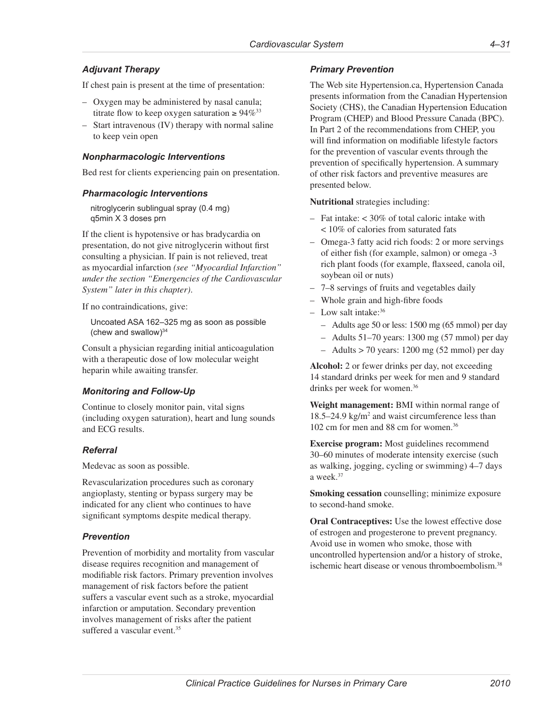# *Adjuvant Therapy*

If chest pain is present at the time of presentation:

- Oxygen may be administered by nasal canula; titrate flow to keep oxygen saturation  $\geq 94\%^{33}$
- Start intravenous (IV) therapy with normal saline to keep vein open

#### *Nonpharmacologic Interventions*

Bed rest for clients experiencing pain on presentation.

#### *Pharmacologic Interventions*

nitroglycerin sublingual spray (0.4 mg) q5min X 3 doses prn

If the client is hypotensive or has bradycardia on presentation, do not give nitroglycerin without first consulting a physician. If pain is not relieved, treat as myocardial infarction *(see "Myocardial Infarction" under the section "Emergencies of the Cardiovascular System" later in this chapter)*.

If no contraindications, give:

Uncoated ASA 162–325 mg as soon as possible (chew and swallow) $34$ 

Consult a physician regarding initial anticoagulation with a therapeutic dose of low molecular weight heparin while awaiting transfer.

# *Monitoring and Follow-Up*

Continue to closely monitor pain, vital signs (including oxygen saturation), heart and lung sounds and ECG results.

#### *Referral*

Medevac as soon as possible.

Revascularization procedures such as coronary angioplasty, stenting or bypass surgery may be indicated for any client who continues to have significant symptoms despite medical therapy.

# *Prevention*

Prevention of morbidity and mortality from vascular disease requires recognition and management of modifiable risk factors. Primary prevention involves management of risk factors before the patient suffers a vascular event such as a stroke, myocardial infarction or amputation. Secondary prevention involves management of risks after the patient suffered a vascular event.<sup>35</sup>

# *Primary Prevention*

The Web site [Hypertension.ca](www.Hypertension.ca), Hypertension Canada presents information from the Canadian Hypertension Society (CHS), the Canadian Hypertension Education Program (CHEP) and Blood Pressure Canada (BPC). In Part 2 of the recommendations from CHEP, you will find information on modifiable lifestyle factors for the prevention of vascular events through the prevention of specifically hypertension. A summary of other risk factors and preventive measures are presented below.

**Nutritional** strategies including:

- Fat intake: < 30% of total caloric intake with < 10% of calories from saturated fats
- Omega-3 fatty acid rich foods: 2 or more servings of either fish (for example, salmon) or omega -3 rich plant foods (for example, flaxseed, canola oil, soybean oil or nuts)
- 7–8 servings of fruits and vegetables daily
- Whole grain and high-fibre foods
- $-$  Low salt intake:  $36$ 
	- Adults age 50 or less: 1500 mg (65 mmol) per day
	- Adults 51–70 years: 1300 mg (57 mmol) per day
	- $-$  Adults  $> 70$  years: 1200 mg (52 mmol) per day

**Alcohol:** 2 or fewer drinks per day, not exceeding 14 standard drinks per week for men and 9 standard drinks per week for women.36

**Weight management:** BMI within normal range of 18.5–24.9 kg/m<sup>2</sup> and waist circumference less than 102 cm for men and 88 cm for women.36

**Exercise program:** Most guidelines recommend 30–60 minutes of moderate intensity exercise (such as walking, jogging, cycling or swimming) 4–7 days a week.37

**Smoking cessation** counselling; minimize exposure to second-hand smoke.

**Oral Contraceptives:** Use the lowest effective dose of estrogen and progesterone to prevent pregnancy. Avoid use in women who smoke, those with uncontrolled hypertension and/or a history of stroke, ischemic heart disease or venous thromboembolism.<sup>38</sup>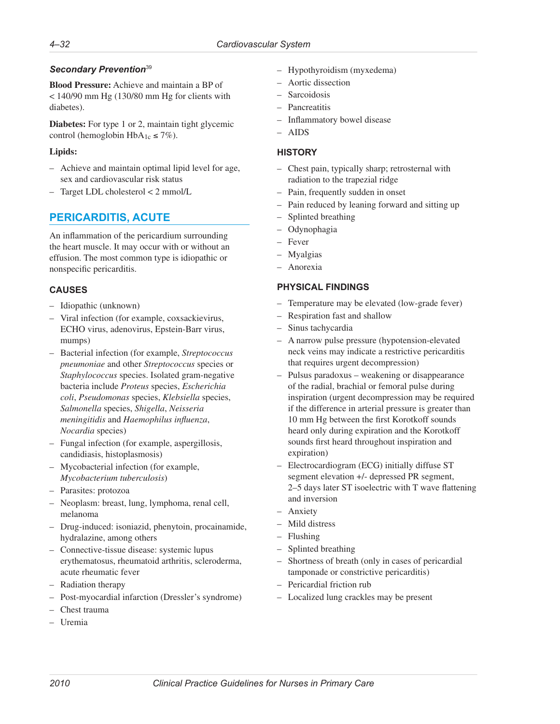# <span id="page-33-0"></span>*Secondary Prevention*<sup>39</sup>

**Blood Pressure:** Achieve and maintain a BP of < 140/90 mm Hg (130/80 mm Hg for clients with diabetes).

**Diabetes:** For type 1 or 2, maintain tight glycemic control (hemoglobin HbA<sub>1c</sub>  $\leq$  7%).

### **Lipids:**

- Achieve and maintain optimal lipid level for age, sex and cardiovascular risk status
- Target LDL cholesterol < 2 mmol/L

# **PERICARDITIS, ACUTE**

An inflammation of the pericardium surrounding the heart muscle. It may occur with or without an effusion. The most common type is idiopathic or nonspecific pericarditis.

# **CAUSES**

- Idiopathic (unknown)
- Viral infection (for example, coxsackievirus, ECHO virus, adenovirus, Epstein-Barr virus, mumps)
- Bacterial infection (for example, *Streptococcus pneumoniae* and other *Streptococcus* species or *Staphylococcus* species. Isolated gram-negative bacteria include *Proteus* species, *Escherichia coli*, *Pseudomonas* species, *Klebsiella* species, *Salmonella* species, *Shigella*, *Neisseria meningitidis* and *Haemophilus influenza*, *Nocardia* species)
- Fungal infection (for example, aspergillosis, candidiasis, histoplasmosis)
- Mycobacterial infection (for example, *Mycobacterium tuberculosis*)
- Parasites: protozoa
- Neoplasm: breast, lung, lymphoma, renal cell, melanoma
- Drug-induced: isoniazid, phenytoin, procainamide, hydralazine, among others
- Connective-tissue disease: systemic lupus erythematosus, rheumatoid arthritis, scleroderma, acute rheumatic fever
- Radiation therapy
- Post-myocardial infarction (Dressler's syndrome)
- Chest trauma
- Uremia
- Hypothyroidism (myxedema)
- Aortic dissection
- **Sarcoidosis**
- Pancreatitis
- Inflammatory bowel disease
- AIDS

### **HISTORY**

- Chest pain, typically sharp; retrosternal with radiation to the trapezial ridge
- Pain, frequently sudden in onset
- Pain reduced by leaning forward and sitting up
- Splinted breathing
- Odynophagia
- Fever
- Myalgias
- Anorexia

# **PHYSICAL FINDINGS**

- Temperature may be elevated (low-grade fever)
- Respiration fast and shallow
- Sinus tachycardia
- A narrow pulse pressure (hypotension-elevated neck veins may indicate a restrictive pericarditis that requires urgent decompression)
- Pulsus paradoxus weakening or disappearance of the radial, brachial or femoral pulse during inspiration (urgent decompression may be required if the difference in arterial pressure is greater than 10 mm Hg between the first Korotkoff sounds heard only during expiration and the Korotkoff sounds first heard throughout inspiration and expiration)
- Electrocardiogram (ECG) initially diffuse ST segment elevation +/- depressed PR segment, 2–5 days later ST isoelectric with T wave flattening and inversion
- Anxiety
- Mild distress
- Flushing
- Splinted breathing
- Shortness of breath (only in cases of pericardial tamponade or constrictive pericarditis)
- Pericardial friction rub
- Localized lung crackles may be present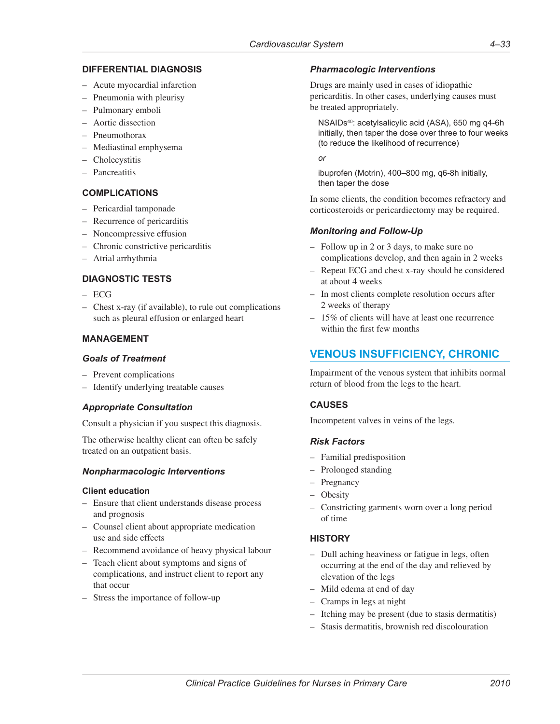### <span id="page-34-0"></span>**DIFFERENTIAL DIAGNOSIS**

- Acute myocardial infarction
- Pneumonia with pleurisy
- Pulmonary emboli
- Aortic dissection
- Pneumothorax
- Mediastinal emphysema
- Cholecystitis
- Pancreatitis

#### **COMPLICATIONS**

- Pericardial tamponade
- Recurrence of pericarditis
- Noncompressive effusion
- Chronic constrictive pericarditis
- Atrial arrhythmia

### **DIAGNOSTIC TESTS**

- ECG
- Chest x-ray (if available), to rule out complications such as pleural effusion or enlarged heart

### **MANAGEMENT**

#### *Goals of Treatment*

- Prevent complications
- Identify underlying treatable causes

#### *Appropriate Consultation*

Consult a physician if you suspect this diagnosis.

The otherwise healthy client can often be safely treated on an outpatient basis.

#### *Nonpharmacologic Interventions*

#### **Client education**

- Ensure that client understands disease process and prognosis
- Counsel client about appropriate medication use and side effects
- Recommend avoidance of heavy physical labour
- Teach client about symptoms and signs of complications, and instruct client to report any that occur
- Stress the importance of follow-up

#### *Pharmacologic Interventions*

Drugs are mainly used in cases of idiopathic pericarditis. In other cases, underlying causes must be treated appropriately.

NSAIDs40: acetylsalicylic acid (ASA), 650 mg q4-6h initially, then taper the dose over three to four weeks (to reduce the likelihood of recurrence)

*or*

ibuprofen (Motrin), 400–800 mg, q6-8h initially, then taper the dose

In some clients, the condition becomes refractory and corticosteroids or pericardiectomy may be required.

### *Monitoring and Follow-Up*

- Follow up in 2 or 3 days, to make sure no complications develop, and then again in 2 weeks
- Repeat ECG and chest x-ray should be considered at about 4 weeks
- In most clients complete resolution occurs after 2 weeks of therapy
- 15% of clients will have at least one recurrence within the first few months

# **VENOUS INSUFFICIENCY, CHRONIC**

Impairment of the venous system that inhibits normal return of blood from the legs to the heart.

#### **CAUSES**

Incompetent valves in veins of the legs.

#### *Risk Factors*

- Familial predisposition
- Prolonged standing
- Pregnancy
- Obesity
- Constricting garments worn over a long period of time

#### **HISTORY**

- Dull aching heaviness or fatigue in legs, often occurring at the end of the day and relieved by elevation of the legs
- Mild edema at end of day
- Cramps in legs at night
- Itching may be present (due to stasis dermatitis)
- Stasis dermatitis, brownish red discolouration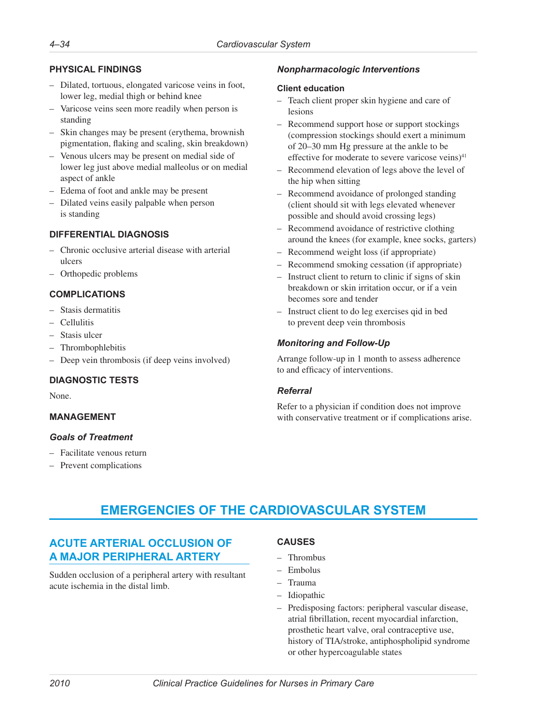# <span id="page-35-0"></span>**PHYSICAL FINDINGS**

- Dilated, tortuous, elongated varicose veins in foot, lower leg, medial thigh or behind knee
- Varicose veins seen more readily when person is standing
- Skin changes may be present (erythema, brownish pigmentation, flaking and scaling, skin breakdown)
- Venous ulcers may be present on medial side of lower leg just above medial malleolus or on medial aspect of ankle
- Edema of foot and ankle may be present
- Dilated veins easily palpable when person is standing

# **DIFFERENTIAL DIAGNOSIS**

- Chronic occlusive arterial disease with arterial ulcers
- Orthopedic problems

# **COMPLICATIONS**

- Stasis dermatitis
- Cellulitis
- Stasis ulcer
- Thrombophlebitis
- Deep vein thrombosis (if deep veins involved)

# **DIAGNOSTIC TESTS**

None.

# **MANAGEMENT**

#### *Goals of Treatment*

- Facilitate venous return
- Prevent complications

# *Nonpharmacologic Interventions*

#### **Client education**

- Teach client proper skin hygiene and care of lesions
- Recommend support hose or support stockings (compression stockings should exert a minimum of 20–30 mm Hg pressure at the ankle to be effective for moderate to severe varicose veins $)^{41}$
- Recommend elevation of legs above the level of the hip when sitting
- Recommend avoidance of prolonged standing (client should sit with legs elevated whenever possible and should avoid crossing legs)
- Recommend avoidance of restrictive clothing around the knees (for example, knee socks, garters)
- Recommend weight loss (if appropriate)
- Recommend smoking cessation (if appropriate)
- Instruct client to return to clinic if signs of skin breakdown or skin irritation occur, or if a vein becomes sore and tender
- Instruct client to do leg exercises qid in bed to prevent deep vein thrombosis

# *Monitoring and Follow-Up*

Arrange follow-up in 1 month to assess adherence to and efficacy of interventions.

# *Referral*

Refer to a physician if condition does not improve with conservative treatment or if complications arise.

# **EMERGENCIES OF THE CARDIOVASCULAR SYSTEM**

# **ACUTE ARTERIAL OCCLUSION OF A MAJOR PERIPHERAL ARTERY**

Sudden occlusion of a peripheral artery with resultant acute ischemia in the distal limb.

# **CAUSES**

- Thrombus
- Embolus
- Trauma
- **Idiopathic**
- Predisposing factors: peripheral vascular disease, atrial fibrillation, recent myocardial infarction, prosthetic heart valve, oral contraceptive use, history of TIA/stroke, antiphospholipid syndrome or other hypercoagulable states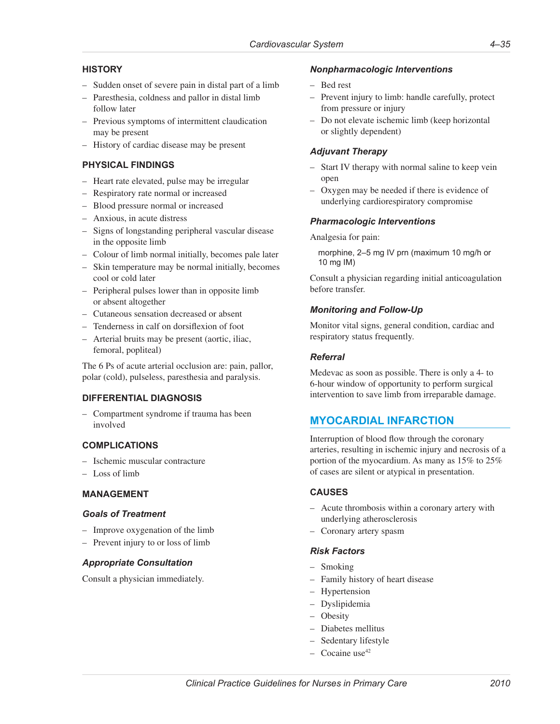# <span id="page-36-0"></span>**HISTORY**

- Sudden onset of severe pain in distal part of a limb
- Paresthesia, coldness and pallor in distal limb follow later
- Previous symptoms of intermittent claudication may be present
- History of cardiac disease may be present

# **PHYSICAL FINDINGS**

- Heart rate elevated, pulse may be irregular
- Respiratory rate normal or increased
- Blood pressure normal or increased
- Anxious, in acute distress
- Signs of longstanding peripheral vascular disease in the opposite limb
- Colour of limb normal initially, becomes pale later
- Skin temperature may be normal initially, becomes cool or cold later
- Peripheral pulses lower than in opposite limb or absent altogether
- Cutaneous sensation decreased or absent
- Tenderness in calf on dorsiflexion of foot
- Arterial bruits may be present (aortic, iliac, femoral, popliteal)

The 6 Ps of acute arterial occlusion are: pain, pallor, polar (cold), pulseless, paresthesia and paralysis.

# **DIFFERENTIAL DIAGNOSIS**

– Compartment syndrome if trauma has been involved

# **COMPLICATIONS**

- Ischemic muscular contracture
- Loss of limb

### **MANAGEMENT**

#### *Goals of Treatment*

- Improve oxygenation of the limb
- Prevent injury to or loss of limb

#### *Appropriate Consultation*

Consult a physician immediately.

#### *Nonpharmacologic Interventions*

- Bed rest
- Prevent injury to limb: handle carefully, protect from pressure or injury
- Do not elevate ischemic limb (keep horizontal or slightly dependent)

### *Adjuvant Therapy*

- Start IV therapy with normal saline to keep vein open
- Oxygen may be needed if there is evidence of underlying cardiorespiratory compromise

### *Pharmacologic Interventions*

Analgesia for pain:

morphine, 2–5 mg IV prn (maximum 10 mg/h or 10 mg IM)

Consult a physician regarding initial anticoagulation before transfer.

### *Monitoring and Follow-Up*

Monitor vital signs, general condition, cardiac and respiratory status frequently.

#### *Referral*

Medevac as soon as possible. There is only a 4- to 6-hour window of opportunity to perform surgical intervention to save limb from irreparable damage.

# **MYOCARDIAL INFARCTION**

Interruption of blood flow through the coronary arteries, resulting in ischemic injury and necrosis of a portion of the myocardium. As many as 15% to 25% of cases are silent or atypical in presentation.

#### **CAUSES**

- Acute thrombosis within a coronary artery with underlying atherosclerosis
- Coronary artery spasm

#### *Risk Factors*

- Smoking
- Family history of heart disease
- Hypertension
- Dyslipidemia
- Obesity
- Diabetes mellitus
- Sedentary lifestyle
- $-$  Cocaine use<sup>42</sup>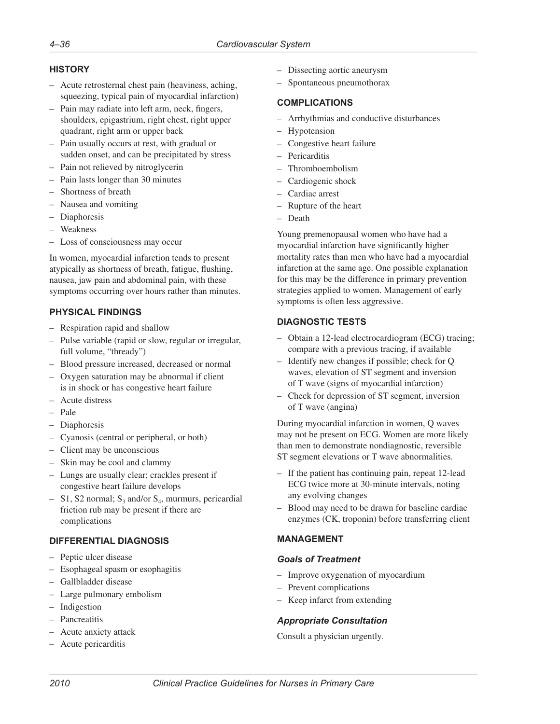### **HISTORY**

- Acute retrosternal chest pain (heaviness, aching, squeezing, typical pain of myocardial infarction)
- Pain may radiate into left arm, neck, fingers, shoulders, epigastrium, right chest, right upper quadrant, right arm or upper back
- Pain usually occurs at rest, with gradual or sudden onset, and can be precipitated by stress
- Pain not relieved by nitroglycerin
- Pain lasts longer than 30 minutes
- Shortness of breath
- Nausea and vomiting
- Diaphoresis
- Weakness
- Loss of consciousness may occur

In women, myocardial infarction tends to present atypically as shortness of breath, fatigue, flushing, nausea, jaw pain and abdominal pain, with these symptoms occurring over hours rather than minutes.

# **PHYSICAL FINDINGS**

- Respiration rapid and shallow
- Pulse variable (rapid or slow, regular or irregular, full volume, "thready")
- Blood pressure increased, decreased or normal
- Oxygen saturation may be abnormal if client is in shock or has congestive heart failure
- Acute distress
- Pale
- Diaphoresis
- Cyanosis (central or peripheral, or both)
- Client may be unconscious
- Skin may be cool and clammy
- Lungs are usually clear; crackles present if congestive heart failure develops
- S1, S2 normal;  $S_3$  and/or  $S_4$ , murmurs, pericardial friction rub may be present if there are complications

# **DIFFERENTIAL DIAGNOSIS**

- Peptic ulcer disease
- Esophageal spasm or esophagitis
- Gallbladder disease
- Large pulmonary embolism
- Indigestion
- Pancreatitis
- Acute anxiety attack
- Acute pericarditis
- Dissecting aortic aneurysm
- Spontaneous pneumothorax

# **COMPLICATIONS**

- Arrhythmias and conductive disturbances
- Hypotension
- Congestive heart failure
- Pericarditis
- Thromboembolism
- Cardiogenic shock
- Cardiac arrest
- Rupture of the heart
- Death

Young premenopausal women who have had a myocardial infarction have significantly higher mortality rates than men who have had a myocardial infarction at the same age. One possible explanation for this may be the difference in primary prevention strategies applied to women. Management of early symptoms is often less aggressive.

# **DIAGNOSTIC TESTS**

- Obtain a 12-lead electrocardiogram (ECG) tracing; compare with a previous tracing, if available
- Identify new changes if possible; check for Q waves, elevation of ST segment and inversion of T wave (signs of myocardial infarction)
- Check for depression of ST segment, inversion of T wave (angina)

During myocardial infarction in women, Q waves may not be present on ECG. Women are more likely than men to demonstrate nondiagnostic, reversible ST segment elevations or T wave abnormalities.

- If the patient has continuing pain, repeat 12-lead ECG twice more at 30-minute intervals, noting any evolving changes
- Blood may need to be drawn for baseline cardiac enzymes (CK, troponin) before transferring client

# **MANAGEMENT**

#### *Goals of Treatment*

- Improve oxygenation of myocardium
- Prevent complications
- Keep infarct from extending

# *Appropriate Consultation*

Consult a physician urgently.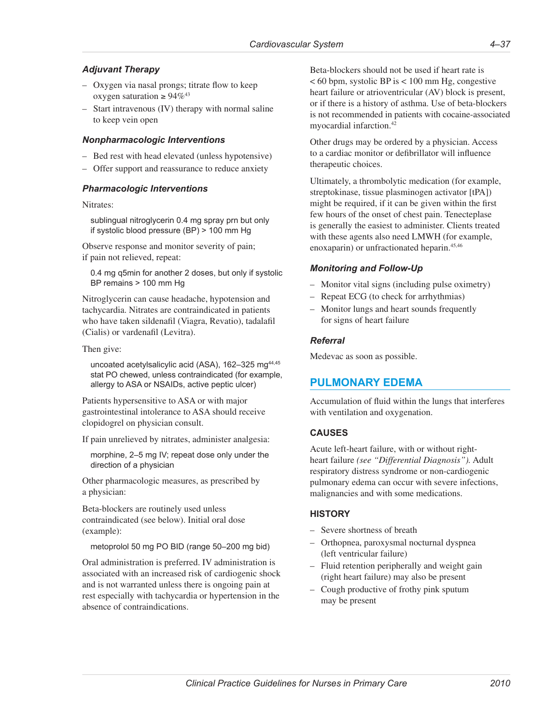# <span id="page-38-0"></span>*Adjuvant Therapy*

- Oxygen via nasal prongs; titrate flow to keep oxygen saturation  $\geq 94\%^{43}$
- Start intravenous (IV) therapy with normal saline to keep vein open

#### *Nonpharmacologic Interventions*

- Bed rest with head elevated (unless hypotensive)
- Offer support and reassurance to reduce anxiety

#### *Pharmacologic Interventions*

Nitrates:

sublingual nitroglycerin 0.4 mg spray prn but only if systolic blood pressure (BP) > 100 mm Hg

Observe response and monitor severity of pain; if pain not relieved, repeat:

0.4 mg q5min for another 2 doses, but only if systolic BP remains > 100 mm Hg

Nitroglycerin can cause headache, hypotension and tachycardia. Nitrates are contraindicated in patients who have taken sildenafil (Viagra, Revatio), tadalafil (Cialis) or vardenafil (Levitra).

Then give:

uncoated acetylsalicylic acid (ASA), 162-325 mg<sup>44,45</sup> stat PO chewed, unless contraindicated (for example, allergy to ASA or NSAIDs, active peptic ulcer)

Patients hypersensitive to ASA or with major gastrointestinal intolerance to ASA should receive clopidogrel on physician consult.

If pain unrelieved by nitrates, administer analgesia:

morphine, 2–5 mg IV; repeat dose only under the direction of a physician

Other pharmacologic measures, as prescribed by a physician:

Beta-blockers are routinely used unless contraindicated (see below). Initial oral dose (example):

metoprolol 50 mg PO BID (range 50–200 mg bid)

Oral administration is preferred. IV administration is associated with an increased risk of cardiogenic shock and is not warranted unless there is ongoing pain at rest especially with tachycardia or hypertension in the absence of contraindications.

Beta-blockers should not be used if heart rate is < 60 bpm, systolic BP is < 100 mm Hg, congestive heart failure or atrioventricular (AV) block is present, or if there is a history of asthma. Use of beta-blockers is not recommended in patients with cocaine-associated myocardial infarction.42

Other drugs may be ordered by a physician. Access to a cardiac monitor or defibrillator will influence therapeutic choices.

Ultimately, a thrombolytic medication (for example, streptokinase, tissue plasminogen activator [tPA]) might be required, if it can be given within the first few hours of the onset of chest pain. Tenecteplase is generally the easiest to administer. Clients treated with these agents also need LMWH (for example, enoxaparin) or unfractionated heparin.45,46

#### *Monitoring and Follow-Up*

- Monitor vital signs (including pulse oximetry)
- Repeat ECG (to check for arrhythmias)
- Monitor lungs and heart sounds frequently for signs of heart failure

#### *Referral*

Medevac as soon as possible.

# **PULMONARY EDEMA**

Accumulation of fluid within the lungs that interferes with ventilation and oxygenation.

### **CAUSES**

Acute left-heart failure, with or without rightheart failure *(see "Differential Diagnosis").* Adult respiratory distress syndrome or non-cardiogenic pulmonary edema can occur with severe infections, malignancies and with some medications.

#### **HISTORY**

- Severe shortness of breath
- Orthopnea, paroxysmal nocturnal dyspnea (left ventricular failure)
- Fluid retention peripherally and weight gain (right heart failure) may also be present
- Cough productive of frothy pink sputum may be present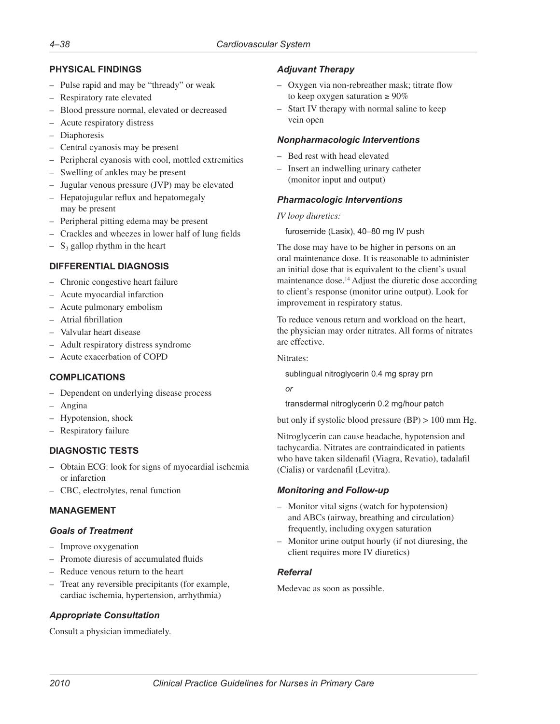# **PHYSICAL FINDINGS**

- Pulse rapid and may be "thready" or weak
- Respiratory rate elevated
- Blood pressure normal, elevated or decreased
- Acute respiratory distress
- Diaphoresis
- Central cyanosis may be present
- Peripheral cyanosis with cool, mottled extremities
- Swelling of ankles may be present
- Jugular venous pressure (JVP) may be elevated
- Hepatojugular reflux and hepatomegaly may be present
- Peripheral pitting edema may be present
- Crackles and wheezes in lower half of lung fields
- $S_3$  gallop rhythm in the heart

# **DIFFERENTIAL DIAGNOSIS**

- Chronic congestive heart failure
- Acute myocardial infarction
- Acute pulmonary embolism
- Atrial fibrillation
- Valvular heart disease
- Adult respiratory distress syndrome
- Acute exacerbation of COPD

# **COMPLICATIONS**

- Dependent on underlying disease process
- Angina
- Hypotension, shock
- Respiratory failure

# **DIAGNOSTIC TESTS**

- Obtain ECG: look for signs of myocardial ischemia or infarction
- CBC, electrolytes, renal function

# **MANAGEMENT**

# *Goals of Treatment*

- Improve oxygenation
- Promote diuresis of accumulated fluids
- Reduce venous return to the heart
- Treat any reversible precipitants (for example, cardiac ischemia, hypertension, arrhythmia)

# *Appropriate Consultation*

Consult a physician immediately.

# *Adjuvant Therapy*

- Oxygen via non-rebreather mask; titrate flow to keep oxygen saturation  $\geq 90\%$
- Start IV therapy with normal saline to keep vein open

### *Nonpharmacologic Interventions*

- Bed rest with head elevated
- Insert an indwelling urinary catheter (monitor input and output)

### *Pharmacologic Interventions*

#### *IV loop diuretics:*

furosemide (Lasix), 40–80 mg IV push

The dose may have to be higher in persons on an oral maintenance dose. It is reasonable to administer an initial dose that is equivalent to the client's usual maintenance dose.14 Adjust the diuretic dose according to client's response (monitor urine output). Look for improvement in respiratory status.

To reduce venous return and workload on the heart, the physician may order nitrates. All forms of nitrates are effective.

Nitrates:

sublingual nitroglycerin 0.4 mg spray prn

*or*

transdermal nitroglycerin 0.2 mg/hour patch

but only if systolic blood pressure (BP) > 100 mm Hg.

Nitroglycerin can cause headache, hypotension and tachycardia. Nitrates are contraindicated in patients who have taken sildenafil (Viagra, Revatio), tadalafil (Cialis) or vardenafil (Levitra).

# *Monitoring and Follow-up*

- Monitor vital signs (watch for hypotension) and ABCs (airway, breathing and circulation) frequently, including oxygen saturation
- Monitor urine output hourly (if not diuresing, the client requires more IV diuretics)

# *Referral*

Medevac as soon as possible.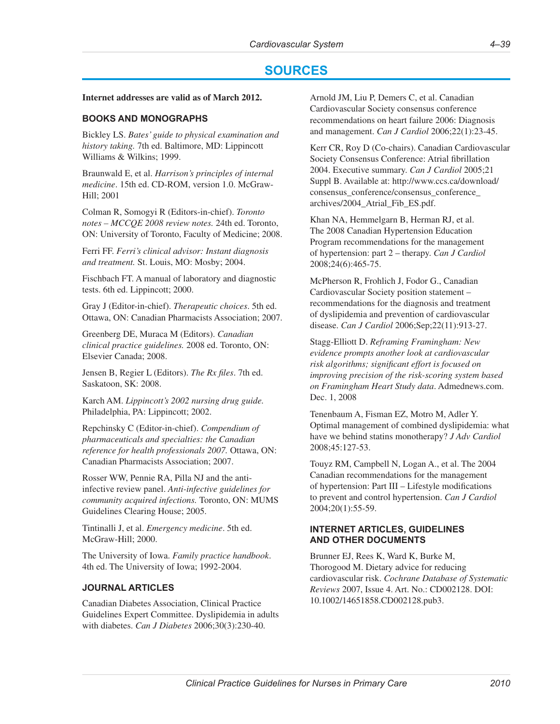# **SOURCES**

#### <span id="page-40-0"></span>**Internet addresses are valid as of March 2012.**

### **BOOKS AND MONOGRAPHS**

Bickley LS. *Bates' guide to physical examination and history taking.* 7th ed. Baltimore, MD: Lippincott Williams & Wilkins; 1999.

Braunwald E, et al. *Harrison's principles of internal medicine*. 15th ed. CD-ROM, version 1.0. McGraw-Hill; 2001

Colman R, Somogyi R (Editors-in-chief). *Toronto notes – MCCQE 2008 review notes.* 24th ed. Toronto, ON: University of Toronto, Faculty of Medicine; 2008.

Ferri FF. *Ferri's clinical advisor: Instant diagnosis and treatment.* St. Louis, MO: Mosby; 2004.

Fischbach FT. A manual of laboratory and diagnostic tests. 6th ed. Lippincott; 2000.

Gray J (Editor-in-chief). *Therapeutic choices*. 5th ed. Ottawa, ON: Canadian Pharmacists Association; 2007.

Greenberg DE, Muraca M (Editors). *Canadian clinical practice guidelines.* 2008 ed. Toronto, ON: Elsevier Canada; 2008.

Jensen B, Regier L (Editors). *The Rx files*. 7th ed. Saskatoon, SK: 2008.

Karch AM. *Lippincott's 2002 nursing drug guide.*  Philadelphia, PA: Lippincott; 2002.

Repchinsky C (Editor-in-chief). *Compendium of pharmaceuticals and specialties: the Canadian reference for health professionals 2007.* Ottawa, ON: Canadian Pharmacists Association; 2007.

Rosser WW, Pennie RA, Pilla NJ and the antiinfective review panel. *Anti-infective guidelines for community acquired infections.* Toronto, ON: MUMS Guidelines Clearing House; 2005.

Tintinalli J, et al. *Emergency medicine*. 5th ed. McGraw-Hill; 2000.

The University of Iowa. *Family practice handbook*. 4th ed. The University of Iowa; 1992-2004.

### **JOURNAL ARTICLES**

Canadian Diabetes Association, Clinical Practice Guidelines Expert Committee. Dyslipidemia in adults with diabetes. *Can J Diabetes* 2006;30(3):230-40.

Arnold JM, Liu P, Demers C, et al. Canadian Cardiovascular Society consensus conference recommendations on heart failure 2006: Diagnosis and management. *Can J Cardiol* 2006;22(1):23-45.

Kerr CR, Roy D (Co-chairs). Canadian Cardiovascular Society Consensus Conference: Atrial fibrillation 2004. Executive summary. *Can J Cardiol* 2005;21 Suppl B. Available at: [http://www.ccs.ca/download/](http://www.ccs.ca/download/consensus_conference/consensus_conference_archives/2004_Atrial_Fib_ES.pdf) [consensus\\_conference/consensus\\_conference\\_](http://www.ccs.ca/download/consensus_conference/consensus_conference_archives/2004_Atrial_Fib_ES.pdf) [archives/2004\\_Atrial\\_Fib\\_ES.pdf](http://www.ccs.ca/download/consensus_conference/consensus_conference_archives/2004_Atrial_Fib_ES.pdf).

Khan NA, Hemmelgarn B, Herman RJ, et al. The 2008 Canadian Hypertension Education Program recommendations for the management of hypertension: part 2 – therapy. *Can J Cardiol* 2008;24(6):465-75.

McPherson R, Frohlich J, Fodor G., Canadian Cardiovascular Society position statement – recommendations for the diagnosis and treatment of dyslipidemia and prevention of cardiovascular disease. *Can J Cardiol* 2006;Sep;22(11):913-27.

Stagg-Elliott D. *Reframing Framingham: New evidence prompts another look at cardiovascular risk algorithms; significant effort is focused on improving precision of the risk-scoring system based on Framingham Heart Study data*. [Admednews.com.](Admednews.com) Dec. 1, 2008

Tenenbaum A, Fisman EZ, Motro M, Adler Y. Optimal management of combined dyslipidemia: what have we behind statins monotherapy? *J Adv Cardiol* 2008;45:127-53.

Touyz RM, Campbell N, Logan A., et al. The 2004 Canadian recommendations for the management of hypertension: Part III – Lifestyle modifications to prevent and control hypertension. *Can J Cardiol*  2004;20(1):55-59.

# **INTERNET ARTICLES, GUIDELINES AND OTHER DOCUMENTS**

Brunner EJ, Rees K, Ward K, Burke M, Thorogood M. Dietary advice for reducing cardiovascular risk. *Cochrane Database of Systematic Reviews* 2007, Issue 4. Art. No.: CD002128. DOI: 10.1002/14651858.CD002128.pub3.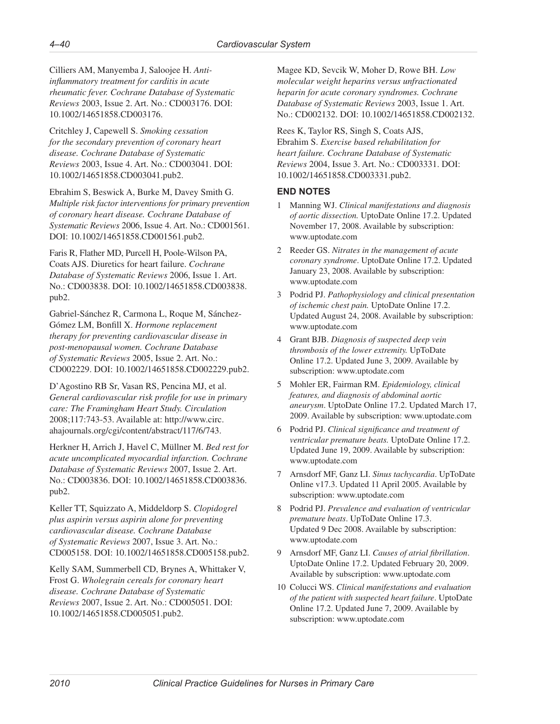Cilliers AM, Manyemba J, Saloojee H. *Antiinflammatory treatment for carditis in acute rheumatic fever. Cochrane Database of Systematic Reviews* 2003, Issue 2. Art. No.: CD003176. DOI: 10.1002/14651858.CD003176.

Critchley J, Capewell S. *Smoking cessation for the secondary prevention of coronary heart disease. Cochrane Database of Systematic Reviews* 2003, Issue 4. Art. No.: CD003041. DOI: 10.1002/14651858.CD003041.pub2.

Ebrahim S, Beswick A, Burke M, Davey Smith G. *Multiple risk factor interventions for primary prevention of coronary heart disease. Cochrane Database of Systematic Reviews* 2006, Issue 4. Art. No.: CD001561. DOI: 10.1002/14651858.CD001561.pub2.

Faris R, Flather MD, Purcell H, Poole-Wilson PA, Coats AJS. Diuretics for heart failure. *Cochrane Database of Systematic Reviews* 2006, Issue 1. Art. No.: CD003838. DOI: 10.1002/14651858.CD003838. pub2.

Gabriel-Sánchez R, Carmona L, Roque M, Sánchez-Gómez LM, Bonfill X. *Hormone replacement therapy for preventing cardiovascular disease in post-menopausal women. Cochrane Database of Systematic Reviews* 2005, Issue 2. Art. No.: CD002229. DOI: 10.1002/14651858.CD002229.pub2.

D'Agostino RB Sr, Vasan RS, Pencina MJ, et al. *General cardiovascular risk profile for use in primary care: The Framingham Heart Study. Circulation* 2008;117:743-53. Available at: [http://www.circ.](http://www.circ.ahajournals.org/cgi/content/abstract/117/6/743) [ahajournals.org/cgi/content/abstract/117/6/743.](http://www.circ.ahajournals.org/cgi/content/abstract/117/6/743)

Herkner H, Arrich J, Havel C, Müllner M. *Bed rest for acute uncomplicated myocardial infarction. Cochrane Database of Systematic Reviews* 2007, Issue 2. Art. No.: CD003836. DOI: 10.1002/14651858.CD003836. pub2.

Keller TT, Squizzato A, Middeldorp S. *Clopidogrel plus aspirin versus aspirin alone for preventing cardiovascular disease. Cochrane Database of Systematic Reviews* 2007, Issue 3. Art. No.: CD005158. DOI: 10.1002/14651858.CD005158.pub2.

Kelly SAM, Summerbell CD, Brynes A, Whittaker V, Frost G. *Wholegrain cereals for coronary heart disease. Cochrane Database of Systematic Reviews* 2007, Issue 2. Art. No.: CD005051. DOI: 10.1002/14651858.CD005051.pub2.

Magee KD, Sevcik W, Moher D, Rowe BH. *Low molecular weight heparins versus unfractionated heparin for acute coronary syndromes. Cochrane Database of Systematic Reviews* 2003, Issue 1. Art. No.: CD002132. DOI: 10.1002/14651858.CD002132.

Rees K, Taylor RS, Singh S, Coats AJS, Ebrahim S. *Exercise based rehabilitation for heart failure. Cochrane Database of Systematic Reviews* 2004, Issue 3. Art. No.: CD003331. DOI: 10.1002/14651858.CD003331.pub2.

# **END NOTES**

- 1 Manning WJ. *Clinical manifestations and diagnosis of aortic dissection.* UptoDate Online 17.2. Updated November 17, 2008. Available by subscription: <www.uptodate.com>
- 2 Reeder GS. *Nitrates in the management of acute coronary syndrome*. UptoDate Online 17.2. Updated January 23, 2008. Available by subscription: <www.uptodate.com>
- 3 Podrid PJ. *Pathophysiology and clinical presentation of ischemic chest pain.* UptoDate Online 17.2. Updated August 24, 2008. Available by subscription: <www.uptodate.com>
- 4 Grant BJB. *Diagnosis of suspected deep vein thrombosis of the lower extremity.* UpToDate Online 17.2. Updated June 3, 2009. Available by subscription:<www.uptodate.com>
- 5 Mohler ER, Fairman RM. *Epidemiology, clinical features, and diagnosis of abdominal aortic aneurysm*. UptoDate Online 17.2. Updated March 17, 2009. Available by subscription:<www.uptodate.com>
- 6 Podrid PJ. *Clinical significance and treatment of ventricular premature beats.* UptoDate Online 17.2. Updated June 19, 2009. Available by subscription: <www.uptodate.com>
- 7 Arnsdorf MF, Ganz LI. *Sinus tachycardia*. UpToDate Online v17.3. Updated 11 April 2005. Available by subscription:<www.uptodate.com>
- 8 Podrid PJ. *Prevalence and evaluation of ventricular premature beats*. UpToDate Online 17.3. Updated 9 Dec 2008. Available by subscription: <www.uptodate.com>
- 9 Arnsdorf MF, Ganz LI. *Causes of atrial fibrillation*. UptoDate Online 17.2. Updated February 20, 2009. Available by subscription: <www.uptodate.com>
- 10 Colucci WS. *Clinical manifestations and evaluation of the patient with suspected heart failure*. UptoDate Online 17.2. Updated June 7, 2009. Available by subscription:<www.uptodate.com>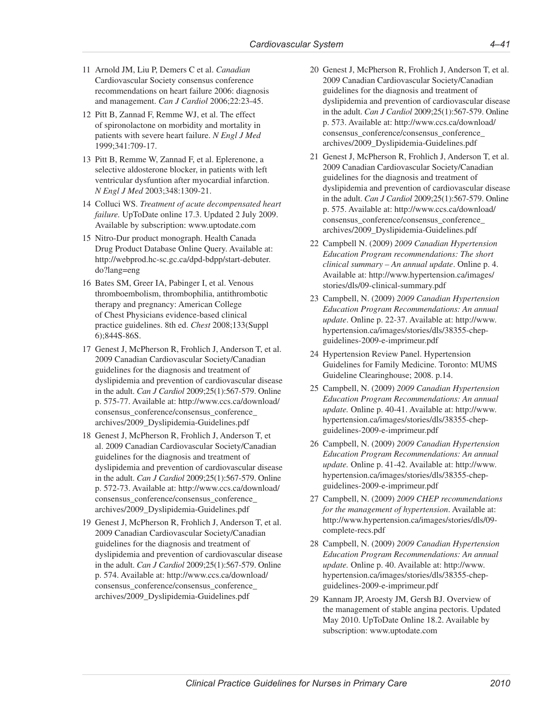- 11 Arnold JM, Liu P, Demers C et al. *Canadian*  Cardiovascular Society consensus conference recommendations on heart failure 2006: diagnosis and management. *Can J Cardiol* 2006;22:23-45.
- 12 Pitt B, Zannad F, Remme WJ, et al. The effect of spironolactone on morbidity and mortality in patients with severe heart failure. *N Engl J Med*  1999;341:709-17.
- 13 Pitt B, Remme W, Zannad F, et al. Eplerenone, a selective aldosterone blocker, in patients with left ventricular dysfuntion after myocardial infarction. *N Engl J Med* 2003;348:1309-21.
- 14 Colluci WS. *Treatment of acute decompensated heart failure.* UpToDate online 17.3. Updated 2 July 2009. Available by subscription: <www.uptodate.com>
- 15 Nitro-Dur product monograph. Health Canada Drug Product Database Online Query. Available at: [http://webprod.hc-sc.gc.ca/dpd-bdpp/start-debuter.](http://webprod.hc-sc.gc.ca/dpd-bdpp/start-debuter.do?lang=eng) [do?lang=eng](http://webprod.hc-sc.gc.ca/dpd-bdpp/start-debuter.do?lang=eng)
- 16 Bates SM, Greer IA, Pabinger I, et al. Venous thromboembolism, thrombophilia, antithrombotic therapy and pregnancy: American College of Chest Physicians evidence-based clinical practice guidelines. 8th ed. *Chest* 2008;133(Suppl 6);844S-86S.
- 17 Genest J, McPherson R, Frohlich J, Anderson T, et al. 2009 Canadian Cardiovascular Society/Canadian guidelines for the diagnosis and treatment of dyslipidemia and prevention of cardiovascular disease in the adult. *Can J Cardiol* 2009;25(1):567-579. Online p. 575-77. Available at: [http://www.ccs.ca/download/](http://www.ccs.ca/download/consensus_conference/consensus_conference_archives/2009_Dyslipidemia-Guidelines.pdf) [consensus\\_conference/consensus\\_conference\\_](http://www.ccs.ca/download/consensus_conference/consensus_conference_archives/2009_Dyslipidemia-Guidelines.pdf) [archives/2009\\_Dyslipidemia-Guidelines.pdf](http://www.ccs.ca/download/consensus_conference/consensus_conference_archives/2009_Dyslipidemia-Guidelines.pdf)
- 18 Genest J, McPherson R, Frohlich J, Anderson T, et al. 2009 Canadian Cardiovascular Society/Canadian guidelines for the diagnosis and treatment of dyslipidemia and prevention of cardiovascular disease in the adult. *Can J Cardiol* 2009;25(1):567-579. Online p. 572-73. Available at: [http://www.ccs.ca/download/](http://www.ccs.ca/download/consensus_conference/consensus_conference_archives/2009_Dyslipidemia-Guidelines.pdf) [consensus\\_conference/consensus\\_conference\\_](http://www.ccs.ca/download/consensus_conference/consensus_conference_archives/2009_Dyslipidemia-Guidelines.pdf) [archives/2009\\_Dyslipidemia-Guidelines.pdf](http://www.ccs.ca/download/consensus_conference/consensus_conference_archives/2009_Dyslipidemia-Guidelines.pdf)
- 19 Genest J, McPherson R, Frohlich J, Anderson T, et al. 2009 Canadian Cardiovascular Society/Canadian guidelines for the diagnosis and treatment of dyslipidemia and prevention of cardiovascular disease in the adult. *Can J Cardiol* 2009;25(1):567-579. Online p. 574. Available at: [http://www.ccs.ca/download/](http://www.ccs.ca/download/consensus_conference/consensus_conference_archives/2009_Dyslipidemia-Guidelines.pdf) [consensus\\_conference/consensus\\_conference\\_](http://www.ccs.ca/download/consensus_conference/consensus_conference_archives/2009_Dyslipidemia-Guidelines.pdf) [archives/2009\\_Dyslipidemia-Guidelines.pdf](http://www.ccs.ca/download/consensus_conference/consensus_conference_archives/2009_Dyslipidemia-Guidelines.pdf)
- 20 Genest J, McPherson R, Frohlich J, Anderson T, et al. 2009 Canadian Cardiovascular Society/Canadian guidelines for the diagnosis and treatment of dyslipidemia and prevention of cardiovascular disease in the adult. *Can J Cardiol* 2009;25(1):567-579. Online p. 573. Available at: [http://www.ccs.ca/download/](http://www.ccs.ca/download/consensus_conference/consensus_conference_archives/2009_Dyslipidemia-Guidelines.pdf) [consensus\\_conference/consensus\\_conference\\_](http://www.ccs.ca/download/consensus_conference/consensus_conference_archives/2009_Dyslipidemia-Guidelines.pdf) [archives/2009\\_Dyslipidemia-Guidelines.pdf](http://www.ccs.ca/download/consensus_conference/consensus_conference_archives/2009_Dyslipidemia-Guidelines.pdf)
- 21 Genest J, McPherson R, Frohlich J, Anderson T, et al. 2009 Canadian Cardiovascular Society/Canadian guidelines for the diagnosis and treatment of dyslipidemia and prevention of cardiovascular disease in the adult. *Can J Cardiol* 2009;25(1):567-579. Online p. 575. Available at: [http://www.ccs.ca/download/](http://www.ccs.ca/download/consensus_conference/consensus_conference_archives/2009_Dyslipidemia-Guidelines.pdf) [consensus\\_conference/consensus\\_conference\\_](http://www.ccs.ca/download/consensus_conference/consensus_conference_archives/2009_Dyslipidemia-Guidelines.pdf) [archives/2009\\_Dyslipidemia-Guidelines.pdf](http://www.ccs.ca/download/consensus_conference/consensus_conference_archives/2009_Dyslipidemia-Guidelines.pdf)
- 22 Campbell N. (2009) *2009 Canadian Hypertension Education Program recommendations: The short clinical summary – An annual update*. Online p. 4. Available at: [http://www.hypertension.ca/images/](http://www.hypertension.ca/images/stories/dls/09-clinical-summary.pdf) [stories/dls/09-clinical-summary.pdf](http://www.hypertension.ca/images/stories/dls/09-clinical-summary.pdf)
- 23 Campbell, N. (2009) *2009 Canadian Hypertension Education Program Recommendations: An annual update*. Online p. 22-37. Available at: [http://www.](http://www.hypertension.ca/images/stories/dls/38355-chep-guidelines-2009-e-imprimeur.pdf) [hypertension.ca/images/stories/dls/38355-chep](http://www.hypertension.ca/images/stories/dls/38355-chep-guidelines-2009-e-imprimeur.pdf)[guidelines-2009-e-imprimeur.pdf](http://www.hypertension.ca/images/stories/dls/38355-chep-guidelines-2009-e-imprimeur.pdf)
- 24 Hypertension Review Panel. Hypertension Guidelines for Family Medicine. Toronto: MUMS Guideline Clearinghouse; 2008. p.14.
- 25 Campbell, N. (2009) *2009 Canadian Hypertension Education Program Recommendations: An annual update.* Online p. 40-41. Available at: [http://www.](http://www.hypertension.ca/images/stories/dls/38355-chep-guidelines-2009-e-imprimeur.pdf) [hypertension.ca/images/stories/dls/38355-chep](http://www.hypertension.ca/images/stories/dls/38355-chep-guidelines-2009-e-imprimeur.pdf)[guidelines-2009-e-imprimeur.pdf](http://www.hypertension.ca/images/stories/dls/38355-chep-guidelines-2009-e-imprimeur.pdf)
- 26 Campbell, N. (2009) *2009 Canadian Hypertension Education Program Recommendations: An annual update.* Online p. 41-42. Available at: [http://www.](http://www.hypertension.ca/images/stories/dls/38355-chep-guidelines-2009-e-imprimeur.pdf) [hypertension.ca/images/stories/dls/38355-chep](http://www.hypertension.ca/images/stories/dls/38355-chep-guidelines-2009-e-imprimeur.pdf)[guidelines-2009-e-imprimeur.pdf](http://www.hypertension.ca/images/stories/dls/38355-chep-guidelines-2009-e-imprimeur.pdf)
- 27 Campbell, N. (2009) *2009 CHEP recommendations for the management of hypertension*. Available at: [http://www.hypertension.ca/images/stories/dls/09](http://www.hypertension.ca/images/stories/dls/09-complete-recs.pdf) [complete-recs.pdf](http://www.hypertension.ca/images/stories/dls/09-complete-recs.pdf)
- 28 Campbell, N. (2009) *2009 Canadian Hypertension Education Program Recommendations: An annual update.* Online p. 40. Available at: [http://www.](http://www.hypertension.ca/images/stories/dls/38355-chep-guidelines-2009-e-imprimeur.pdf) [hypertension.ca/images/stories/dls/38355-chep](http://www.hypertension.ca/images/stories/dls/38355-chep-guidelines-2009-e-imprimeur.pdf)[guidelines-2009-e-imprimeur.pdf](http://www.hypertension.ca/images/stories/dls/38355-chep-guidelines-2009-e-imprimeur.pdf)
- 29 Kannam JP, Aroesty JM, Gersh BJ. Overview of the management of stable angina pectoris. Updated May 2010. UpToDate Online 18.2. Available by subscription:<www.uptodate.com>